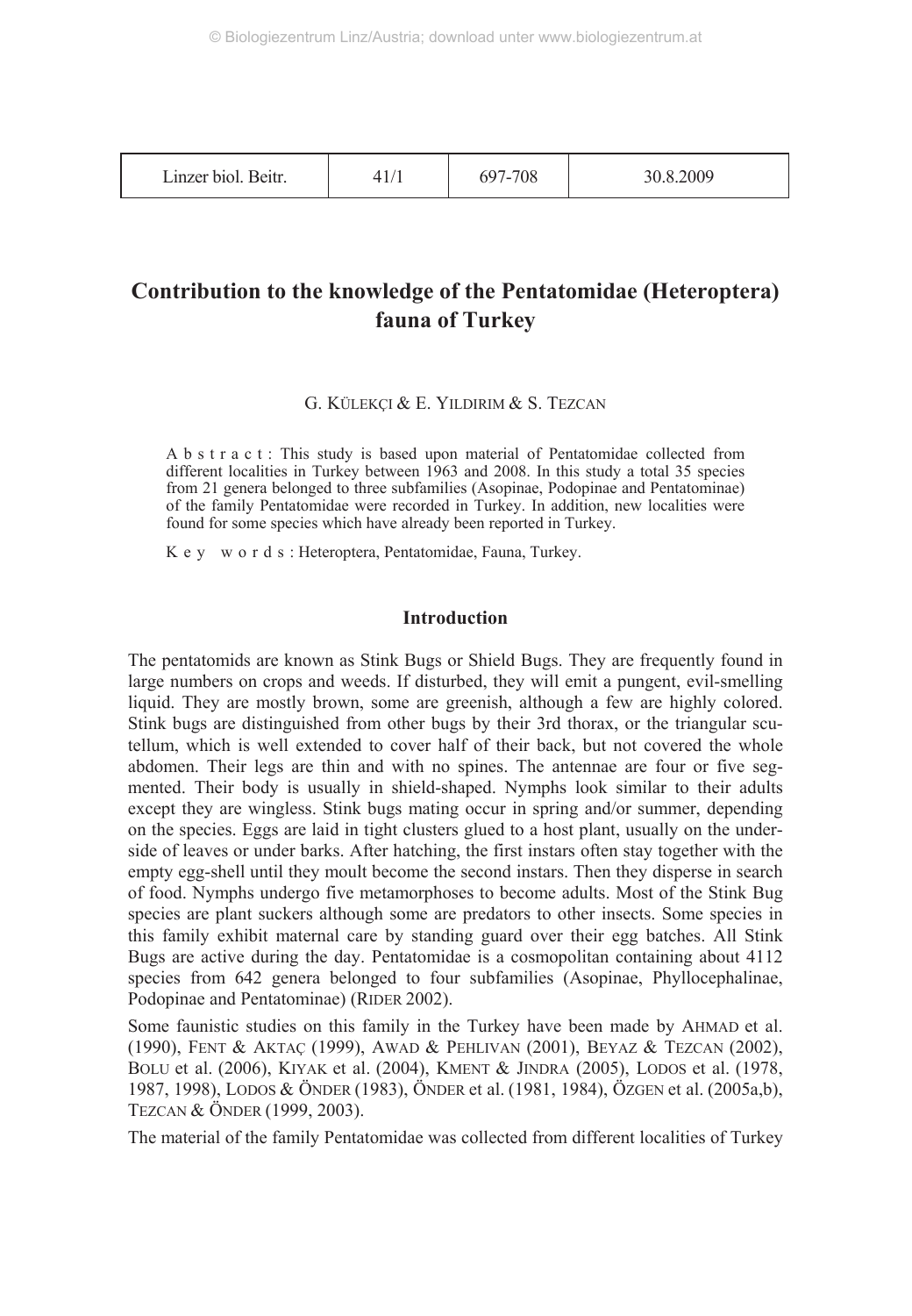| Linzer biol. Beitr.<br>4 L | 97-708<br>$59/ -$ | 30.8.2009 |
|----------------------------|-------------------|-----------|
|----------------------------|-------------------|-----------|

## **Contribution to the knowledge of the Pentatomidae (Heteroptera) fauna of Turkey**

## G. KÜLEKÇI & E. YILDIRIM & S. TEZCAN

A b s t r a c t : This study is based upon material of Pentatomidae collected from different localities in Turkey between 1963 and 2008. In this study a total 35 species from 21 genera belonged to three subfamilies (Asopinae, Podopinae and Pentatominae) of the family Pentatomidae were recorded in Turkey. In addition, new localities were found for some species which have already been reported in Turkey.

K e y w o r d s : Heteroptera, Pentatomidae, Fauna, Turkey.

## **Introduction**

The pentatomids are known as Stink Bugs or Shield Bugs. They are frequently found in large numbers on crops and weeds. If disturbed, they will emit a pungent, evil-smelling liquid. They are mostly brown, some are greenish, although a few are highly colored. Stink bugs are distinguished from other bugs by their 3rd thorax, or the triangular scutellum, which is well extended to cover half of their back, but not covered the whole abdomen. Their legs are thin and with no spines. The antennae are four or five segmented. Their body is usually in shield-shaped. Nymphs look similar to their adults except they are wingless. Stink bugs mating occur in spring and/or summer, depending on the species. Eggs are laid in tight clusters glued to a host plant, usually on the underside of leaves or under barks. After hatching, the first instars often stay together with the empty egg-shell until they moult become the second instars. Then they disperse in search of food. Nymphs undergo five metamorphoses to become adults. Most of the Stink Bug species are plant suckers although some are predators to other insects. Some species in this family exhibit maternal care by standing guard over their egg batches. All Stink Bugs are active during the day. Pentatomidae is a cosmopolitan containing about 4112 species from 642 genera belonged to four subfamilies (Asopinae, Phyllocephalinae, Podopinae and Pentatominae) (RIDER 2002).

Some faunistic studies on this family in the Turkey have been made by AHMAD et al. (1990), FENT & AKTAÇ (1999), AWAD & PEHLIVAN (2001), BEYAZ & TEZCAN (2002), BOLU et al. (2006), KIYAK et al. (2004), KMENT & JINDRA (2005), LODOS et al. (1978, 1987, 1998), LODOS & ÖNDER (1983), ÖNDER et al. (1981, 1984), ÖZGEN et al. (2005a,b), TEZCAN & ÖNDER (1999, 2003).

The material of the family Pentatomidae was collected from different localities of Turkey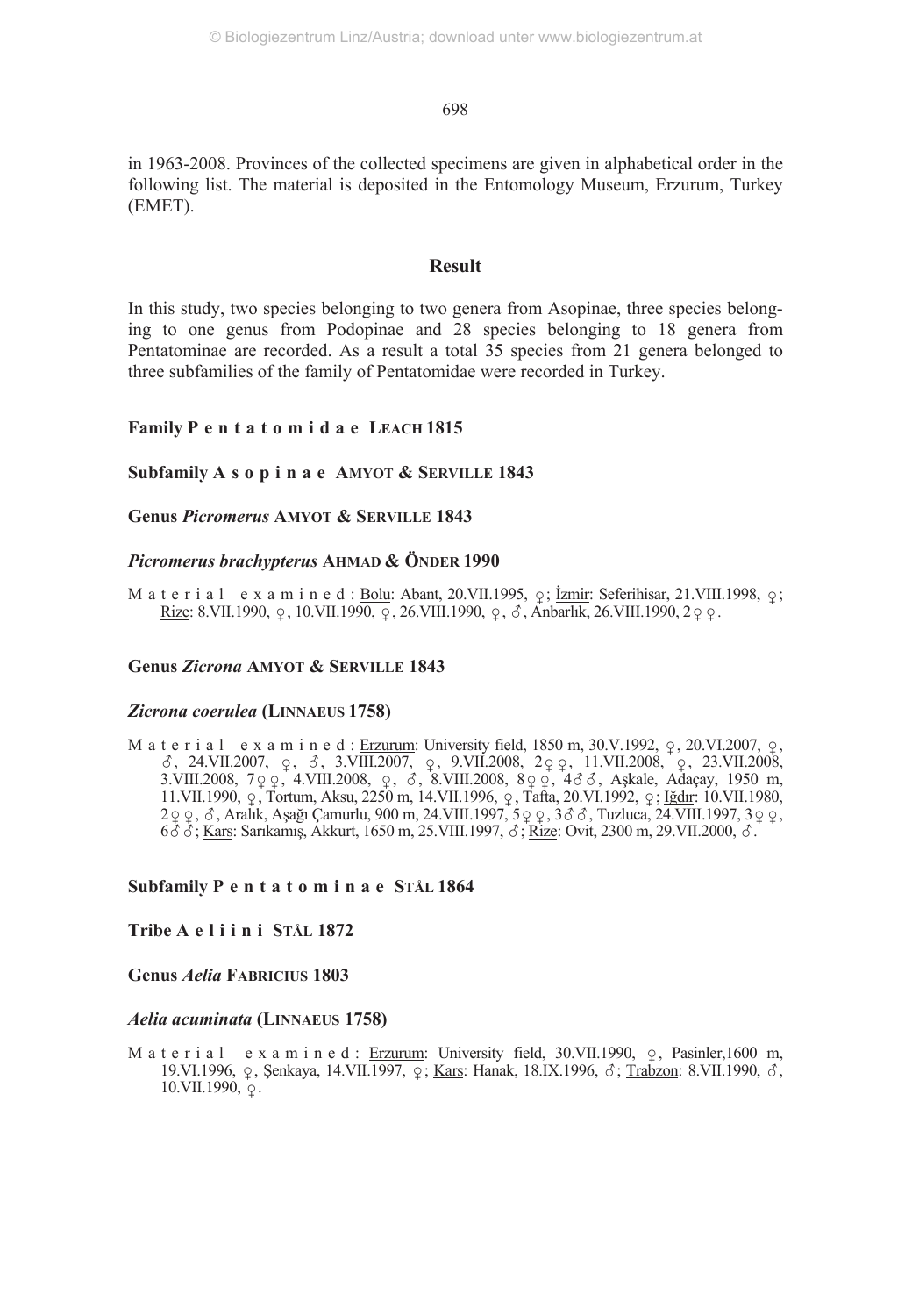in 1963-2008. Provinces of the collected specimens are given in alphabetical order in the following list. The material is deposited in the Entomology Museum, Erzurum, Turkey (EMET).

## **Result**

In this study, two species belonging to two genera from Asopinae, three species belonging to one genus from Podopinae and 28 species belonging to 18 genera from Pentatominae are recorded. As a result a total 35 species from 21 genera belonged to three subfamilies of the family of Pentatomidae were recorded in Turkey.

## **Family P e n t a t o m i d a e LEACH 1815**

## **Subfamily A s o p i n a e AMYOT & SERVILLE 1843**

## **Genus** *Picromerus* **AMYOT & SERVILLE 1843**

## *Picromerus brachypterus* **AHMAD & ÖNDER 1990**

M a t e r i a l e x a m i n e d : Bolu: Abant, 20.VII.1995,  $\circ$ ; İzmir: Seferihisar, 21.VIII.1998,  $\circ$ ; <u>Rize</u>: 8.VII.1990, φ, 10.VII.1990, φ, 26.VIII.1990, φ, δ, Anbarlık, 26.VIII.1990, 2φφ.

## **Genus** *Zicrona* **AMYOT & SERVILLE 1843**

## *Zicrona coerulea* **(LINNAEUS 1758)**

M a t e r i a l e x a m i n e d : Erzurum: University field, 1850 m, 30.V.1992,  $\varphi$ , 20.VI.2007,  $\varphi$ ,  $\beta$ , 24.VII.2007,  $\varphi$ ,  $\beta$ , 3.VIII.2007,  $\varphi$ , 9.VII.2008, 2 $\varphi$ , 21.VII.2008,  $\varphi$ , 23.VII.2008,  $3. VIII. 2008, 799, 4. VIII. 2008, 9, 6, 8. VIII. 2008, 899, 466, 498, 498, 1950, m,$ 11.VII.1990,  $\varphi$ , Tortum, Aksu, 2250 m, 14.VII.1996,  $\varphi$ , Tafta, 20.VI.1992,  $\varphi$ ; Iğdır: 10.VII.1980, 2, -, Aralık, Aşağı Çamurlu, 900 m, 24.VIII.1997, 5, 3--, Tuzluca, 24.VIII.1997, 3, 6--; Kars: Sarıkamış, Akkurt, 1650 m, 25.VIII.1997, -; Rize: Ovit, 2300 m, 29.VII.2000, -.

## **Subfamily Pentatominae STÅL 1864**

## **Tribe Aeliini STÅL 1872**

## **Genus** *Aelia* **FABRICIUS 1803**

## *Aelia acuminata* **(LINNAEUS 1758)**

Material examined: Erzurum: University field, 30.VII.1990,  $\Omega$ , Pasinler,1600 m, 19.VI.1996, ç, Şenkaya, 14.VII.1997, ç; <u>Kars</u>: Hanak, 18.IX.1996, δ; <u>Trabzon</u>: 8.VII.1990, δ,  $10.VII.1990, \, \circ.$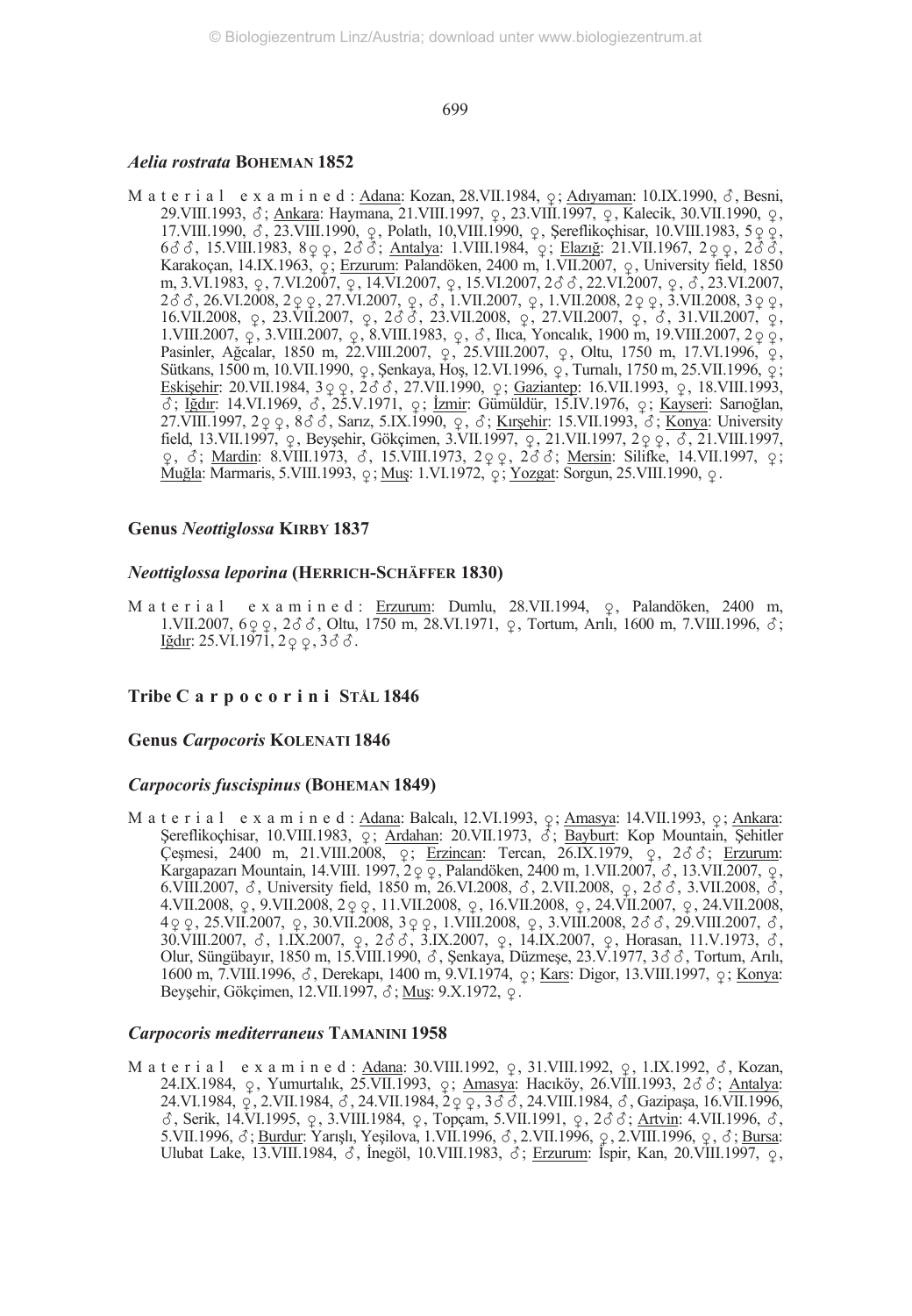#### *Aelia rostrata* **BOHEMAN 1852**

Material examined: <u>Adana</u>: Kozan, 28.VII.1984, 9; <u>Adıyaman</u>: 10.IX.1990, 8, Besni, 29.VIII.1993, Š., <u>Ankara</u>: Haymana, 21.VIII.1997, ç., 23.VIII.1997, ç., Kalecik, 30.VII.1990, ç., <sub>2</sub>,  $17.$ VIII.1990,  $\sigma$ ,  $23.$ VIII.1990,  $\sigma$ , Polatlı, 10,VIII.1990,  $\sigma$ , Şereflikoçhisar, 10.VIII.1983, 5 $\sigma$  $\sigma$ , 633, 15.VIII.1983, 8 q q , 233; <u>Antalya</u>: 1.VIII.1984, q ; <u>Elazığ</u>: 21.VII.1967, 2 q q , 233;<br>V Karakoçan, 14.IX.1963, ç; Erzurum: Palandöken, 2400 m, 1.VII.2007, ç, University field, 1850 m, 3.VI.1983,  $\varphi$ , 7.VI.2007,  $\varphi$ , 14.VI.2007,  $\varphi$ , 15.VI.2007, 2 $\sigma$ , 3, 22.VI.2007,  $\varphi$ ,  $\sigma$ , 23.VI.2007, 25 5, 26.VI.2008, 2 9 9, 27.VI.2007, 9, 5, 1.VII.2007, 9, 1.VII.2008, 2 9 9, 3.VII.2008, 3 9 9, 3.  $16.\text{VII}.2008, \varphi$ ,  $23.\text{VII}.2007, \varphi$ ,  $25\delta$ ,  $23.\text{VII}.2008, \varphi$ ,  $27.\text{VII}.2007, \varphi$ ,  $\delta$ ,  $31.\text{VII}.2007, \varphi$  $1. VIII. 2007, 9, 3. VIII. 2007, 9, 8. VIII. 1983, 9, 3, 100, 100, 19. VIII. 2007, 29.9, 100, 19.111, 2007, 29.10, 1000, 1000, 1000, 1000, 1000, 1000, 1000, 1000, 1000, 1000, 1000, 1000, 1000, 1000, 1000, 1000, 1000, 1000, 1000, 1000, 1$ Pasinler, Ağcalar, 1850 m, 22.VIII.2007, Q, 25.VIII.2007, Q, Oltu, 1750 m, 17.VI.1996, Q, Sütkans, 1500 m, 10.VII.1990,  $\varphi$ , Şenkaya, Hoş, 12.VI.1996,  $\varphi$ , Turnalı, 1750 m, 25.VII.1996,  $\varphi$ ;  $\frac{\text{Eskischir}}{20 \text{VII}}$ . 284, 3  $\varphi$ , 2  $\sigma$   $\sigma$ , 27. VII.1990,  $\varphi$ ;  $\frac{\text{Gaziantep}}{25 \text{VII}}$ . 16. VII.1993,  $\varphi$ , 18. VIII.1993,  $\delta$ ; <u>Iğdır</u>: 14.VI.1969,  $\delta$ , 25.V.1971,  $\varphi$ ; <u>İzmir</u>: Gümüldür, 15.IV.1976,  $\varphi$ ; <u>Kayseri</u>: Sarıoğlan,  $27. \text{VIII.}1997, 29. \text{°C}$ ,  $8 \text{°C}$ , Sarız, 5.IX.1990,  $\text{°C}$ ,  $\text{°C}$ ; <u>Kırşehir</u>: 15.VII.1993,  $\text{°C}$ ; <u>Konya</u>: University field, 13.VII.1997,  $\varphi$ , Beyşehir, Gökçimen, 3.VII.1997,  $\varphi$ , 21.VII.1997, 2 $\varphi$ ,  $\varphi$ , 21.VIII.1997,  $\varphi$ ,  $\vec{\phi}$ ; <u>Mardin</u>: 8.VIII.1973,  $\vec{\phi}$ , 15.VIII.1973, 2 $\varphi$ , 2 $\vec{\phi}$   $\vec{\phi}$ ; <u>Mersin</u>: Silifke, 14.VII.1997,  $\varphi$ ; Muğla: Marmaris, 5.VIII.1993, ç; Muş: 1.VI.1972, ç; Yozgat: Sorgun, 25.VIII.1990, ç.

#### **Genus** *Neottiglossa* **KIRBY 1837**

#### *Neottiglossa leporina* **(HERRICH-SCHÄFFER 1830)**

Material examined: Erzurum: Dumlu, 28.VII.1994,  $\varphi$ , Palandöken, 2400 m,  $1. VIII. 2007, 699, 200, 61, 1750$  m,  $28. VI. 1971, 9$ , Tortum, Arılı, 1600 m, 7.VIII.1996,  $\delta$ ; <u>Iğdır</u>: 25.VI.1971, 2♀♀, 3♂ ♂.

## **Tribe Carpocorini STÅL 1846**

## **Genus** *Carpocoris* **KOLENATI 1846**

#### *Carpocoris fuscispinus* **(BOHEMAN 1849)**

Material examined: <u>Adana</u>: Balcalı, 12.VI.1993,  $\varphi$ ; <u>Amasya</u>: 14.VII.1993,  $\varphi$ ; <u>Ankara</u>:  $\frac{1}{2}$ Şereflikoçhisar, 10.VIII.1983,  $\frac{1}{2}$ ; Ardahan: 20.VII.1973,  $\vec{\sigma}$ ; Bayburt: Kop Mountain, Şehitler  $\text{C}$ eșmesi, 2400 m, 21.VIII.2008,  $\varphi$ ; Erzincan: Tercan, 26.IX.1979,  $\varphi$ , 2 $\delta$ , $\delta$ ; Erzurum: Kargapazarı Mountain, 14.VIII. 1997, 2 ç ç, Palandöken, 2400 m, 1.VII.2007, 3, 13.VII.2007, c, 6. VIII.2007, c, 6. VII.2008, 3, 6. VII.2008, 3, 6. VII.2008, 3, 6. VII.2008, 3, 6. VII.2008, 3, 6. VII.2008, 3, 6. VII.2008, 3  $4. VIII.2008, 9, 9. VIII.2008, 29.9, 11. VIII.2008, 9, 16. VIII.2008, 9, 24. VIII.2007, 9, 24. VIII.2008, 24.0008, 25.00008, 26.00008, 27.00008, 28.00008, 29.00008, 20.00008, 21.00008, 22.00008, 24.00008, 26.00008, 27.00008, 28.00008, 29.00008,$  $4\frac{9}{5}$ , 25.VII.2007,  $\frac{9}{5}$ , 30.VII.2008,  $3\frac{9}{5}$ , 1.VIII.2008,  $\frac{9}{5}$ , 3.VIII.2008, 25  $\delta$ , 29.VIII.2007,  $\delta$ ,  $30.\text{VIII}.2007, \, \beta, \, 1.\text{IX}.2007, \, \varphi, \, 2 \beta \, \delta, \, 3.\text{IX}.2007, \, \varphi, \, 14.\text{IX}.2007, \, \varphi, \, \text{Horsan}, \, 11.\text{V}.1973, \, \delta, \, 11.\text{V}.1973, \, \beta, \, 11.\text{V}.1973, \, \beta, \, 11.\text{V}.1973, \, \beta, \, 11.\text{V}.1973, \, \beta, \, 11.\text{V}.1973, \, \beta, \$ Olur, Süngübayır, 1850 m, 15. VIII. 1990,  $\delta$ , Şenkaya, Düzmeşe, 23. V. 1977, 36  $\delta$ , Tortum, Arılı, 1600 m, 7.VIII.1996,  $\delta$ , Derekapı, 1400 m, 9.VI.1974,  $\varphi$ ; <u>Kars</u>: Digor, 13.VIII.1997,  $\varphi$ ; <u>Konya</u>: Beyşehir, Gökçimen, 12.VII.1997, *δ* ; <u>Muş</u>: 9.X.1972, ç .

#### *Carpocoris mediterraneus* **TAMANINI 1958**

Material examined: <u>Adana</u>: 30.VIII.1992,  $\varphi$ , 31.VIII.1992,  $\varphi$ , 1.IX.1992,  $\delta$ , Kozan,  $24.IX.1984, \varphi$ , Yumurtalık, 25.VII.1993,  $\varphi$ ; <u>Amasya</u>: Hacıköy, 26.VIII.1993, 2 $\sigma \sigma$ ; Antalya: 24.VI.1984, Q, 2.VII.1984, δ, 24.VII.1984, 2 Q q, 3 δ δ, 24.VIII.1984, δ, Gazipaşa, 16.VII.1996,  $\vec{\sigma}$ , Serik, 14.VI.1995,  $\sigma$ , 3.VIII.1984,  $\sigma$ , Topçam, 5.VII.1991,  $\sigma$ , 2 $\vec{\sigma}$ ; Artvin: 4.VII.1996,  $\vec{\sigma}$ ,  $5. \text{VII.}1996, \delta$ ; <u>Burdur</u>: Yarışlı, Yeşilova, 1.VII.1996,  $\delta$ , 2.VII.1996,  $\varphi$ , 2.VIII.1996,  $\varphi$ ,  $\delta$ ; <u>Bursa</u>: Ulubat Lake, 13.VIII.1984, δ, İnegöl, 10.VIII.1983, δ; <u>Erzurum</u>: İspir, Kan, 20.VIII.1997, <sub>♀</sub>,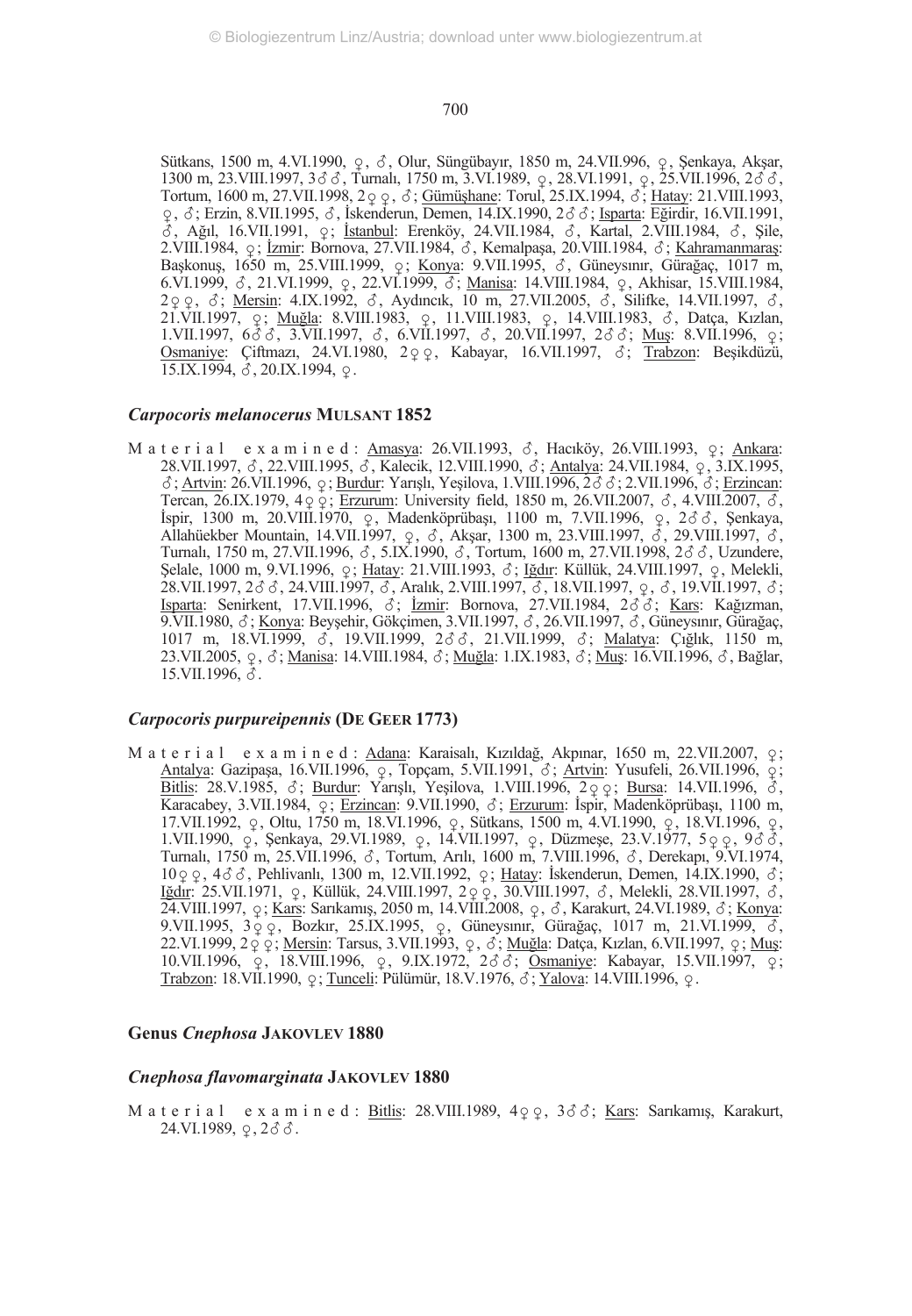Sütkans, 1500 m, 4.VI.1990, 9, 3, Olur, Süngübayır, 1850 m, 24.VII.996, 9, Şenkaya, Akşar, 1996, 23, 7  $1300 \text{ m}, 23. \text{VIII}.1997, 3 \text{ }\sigma\text{ } \text{ } \sigma$ , Turnalı, 1750 m, 3.VI.1989,  $\varphi$ , 28.VI.1991,  $\varphi$ , 25.VII.1996, 2 $\sigma \text{ } \sigma$ ,  $\mathbb{R}$ Tortum, 1600 m, 27.VII.1998, 2  $\varphi$  ,  $\vec{\sigma}$ ; <u>Gümüşhane</u>: Torul, 25.IX.1994,  $\vec{\sigma}$ ; <u>Hatay</u>: 21.VIII.1993,  $\varphi$ ,  $\vec{\sigma}$ ; Erzin, 8.VII.1995,  $\vec{\sigma}$ , İskenderun, Demen, 14.IX.1990, 2 $\vec{\sigma}$ ; <u>Isparta</u>: Eğirdir, 16.VII.1991,  $\delta$ , Ağıl, 16.VII.1991,  $\varphi$ ; <u>Istanbul</u>: Erenköy, 24.VII.1984,  $\delta$ , Kartal, 2.VIII.1984,  $\delta$ , Şile,  $2. VIII. 1984, 9$ ; <u>İzmir</u>: Bornova, 27.VII.1984,  $\delta$ , Kemalpaşa, 20.VIII.1984,  $\delta$ ; <u>Kahramanmaraş:</u> Başkonuş, 1650 m, 25.VIII.1999, ç; <u>Konya</u>: 9.VII.1995, *c*, Güneysınır, Gürağaç, 1017 m,  $6. \text{VI}.1999, \, \check{\sigma}, \, 21. \text{VI}.1999, \, \check{\sigma}, \, 22. \text{VI}.1999, \, \check{\sigma}, \, \frac{\text{Manisa:}}{10. \text{Meas}}$  14.VIII.1984,  $\varphi$ , Akhisar, 15.VIII.1984,  $2 \varphi \varphi$ ,  $\vec{\sigma}$ ; <u>Mersin</u>: 4.IX.1992,  $\vec{\sigma}$ , Aydıncık, 10 m, 27.VII.2005,  $\vec{\sigma}$ , Silifke, 14.VII.1997,  $\vec{\sigma}$ , 21.VII.1997,  $\varphi$ ; <u>Muğla</u>: 8.VIII.1983,  $\varphi$ , 11.VIII.1983,  $\varphi$ , 14.VIII.1983,  $\sigma$ , Datça, Kızlan,  $1. \text{VII}.1997, \ 683, \ 3. \text{VII}.1997, \ 3, \ 6. \text{VII}.1997, \ 3, \ 20. \text{VII}.1997, \ 233, \ \frac{\text{Mug}}{\text{S}}. 8. \text{VII}.1996, \ 9. \ \text{S}$ Osmaniye: Çiftmazı, 24.VI.1980, 2 ç ç, Kabayar, 16.VII.1997, 3; <u>Trabzon</u>: Beşikdüzü,  $15.\text{IX}.1994, \, \delta$ , 20.IX.1994,  $\varphi$ .

## *Carpocoris melanocerus* **MULSANT 1852**

Material examined:  $\frac{\text{Amasya}}{\text{Amasya}}$ : 26.VII.1993,  $\delta$ , Hacıköy, 26.VIII.1993,  $\varphi$ ;  $\frac{\text{Ankara}}{\text{amaxa}}$ 28.VII.1997, 3, 22.VIII.1995, 3, Kalecik, 12.VIII.1990, 3; <u>Antalya</u>: 24.VII.1984, <sub>9</sub>, 3.IX.1995,  $\vec{\phi}$ ; <u>Artvin</u>: 26.VII.1996,  $\varphi$ ; <u>Burdur</u>: Yarışlı, Yeşilova, 1.VIII.1996, 2 $\vec{\phi}$ , 2.VII.1996,  $\vec{\phi}$ ; Erzincan: Tercan, 26.IX.1979, 4 $\varphi$  ; Erzurum: University field, 1850 m, 26.VII.2007,  $\delta$ , 4.VIII.2007,  $\delta$ , Ispir, 1300 m, 20.VIII.1970,  $\varphi$ , Madenköprübaşı, 1100 m, 7.VII.1996,  $\varphi$ , 2 $\sigma$  $\zeta$ , Şenkaya, Allahüekber Mountain, 14.VII.1997,  $\varphi$ ,  $\vec{\sigma}$ , Akşar, 1300 m, 23.VIII.1997,  $\vec{\sigma}$ , 29.VIII.1997,  $\vec{\sigma}$ , Turnalı, 1750 m, 27.VII.1996, δ, 5.IX.1990, δ, Tortum, 1600 m, 27.VII.1998, 2δδ, Uzundere,  $\frac{\text{Selale}}{2000 \text{ m}}$ ,  $\frac{9.11996}{20000 \text{ m}}$ ,  $\frac{1}{2}$ ; <u>Hatay</u>: 21.VIII.1993,  $\delta$ ; <u>Iğdır</u>: Küllük, 24.VIII.1997,  $\Omega$ , Melekli, 28.VII.1997, 28 8, 24.VIII.1997, 8, Aralık, 2.VIII.1997, 8, 18.VII.1997, 9, 8, 19.VII.1997, 8;<br>V I<u>sparta</u>: Senirkent, 17.VII.1996, ổ; <u>Izmir</u>: Bornova, 27.VII.1984, 2ổổ; <u>Kars</u>: Kağızman, 9.VII.1980, *δ*; <u>Konya</u>: Beyşehir, Gökçimen, 3.VII.1997, *δ*, 26.VII.1997, *δ*, Güneysınır, Gürağaç, 1017 m, 18.VI.1999, *č*, 19.VII.1999, 2*č č*, 21.VII.1999, *č*; <u>Malatya</u>: Çığlık, 1150 m, 23.VII.2005, , -; Manisa: 14.VIII.1984, -; Muğla: 1.IX.1983, -; Muş: 16.VII.1996, -, Bağlar,  $15.$ VII.1996,  $\delta$ .

## *Carpocoris purpureipennis* **(DE GEER 1773)**

Material examined: Adana: Karaisalı, Kızıldağ, Akpınar, 1650 m, 22.VII.2007,  $\varphi$ ; Antalya: Gazipaşa, 16.VII.1996, ç, Topçam, 5.VII.1991,  $\delta$ ; Artvin: Yusufeli, 26.VII.1996, ç; Bitlis: 28.V.1985,  $\vec{\sigma}$ ; Burdur: Yarışlı, Yeşilova, 1.VIII.1996, 200; Bursa: 14.VII.1996,  $\vec{\sigma}$ , Karacabey, 3.VII.1984, *Q;* Erzincan: 9.VII.1990, *δ;* Erzurum: İspir, Madenköprübaşı, 1100 m, 17.VII.1992,  $\varphi$ , Oltu, 1750 m, 18.VI.1996,  $\varphi$ , Sütkans, 1500 m, 4.VI.1990,  $\varphi$ , 18.VI.1996,  $\varphi$ ,  $1. VIII. 1990, 9$ , Şenkaya, 29.VI.1989, 9, 14.VII.1997, 9, Düzmeşe, 23.V.1977, 59 9, 98 8, Turnalı, 1750 m, 25.VII.1996,  $\delta$ , Tortum, Arılı, 1600 m, 7.VIII.1996,  $\delta$ , Derekapı, 9.VI.1974,  $10\varphi \varphi$ ,  $4\varphi \varphi$ , Pehlivanlı, 1300 m, 12.VII.1992,  $\varphi$ ; <u>Hatay</u>: İskenderun, Demen, 14.IX.1990,  $\varphi$ ;  $\underline{\text{Iğdır: 25.VII}.1971}, \varphi, Küllük, 24.VIII.1997, 2 \varphi, 30.VIII.1997, 3, Melekli, 28.VII.1997, 3, 4.11997, 5.12997, 5.12997, 5.12997, 5.12997, 5.12997, 5.12997, 5.12997, 5.12997, 5.12997, 5.12997, 5.12997, 5.12997, 5.12997, 5.12997, 5.129$ 24.VIII.1997, ♀; <u>Kars</u>: Sarıkamış, 2050 m, 14.VIII.2008, ♀, ♂, Karakurt, 24.VI.1989, ♂; <u>Konya</u>: 9.VII.1995, 3 \times o Bozkır, 25.IX.1995, \times Güneysınır, Gürağaç, 1017 m, 21.VI.1999, & 22.VI.1999, 2 Q Q; <u>Mersin</u>: Tarsus, 3.VII.1993, Q, δ; <u>Muğla</u>: Datça, Kızlan, 6.VII.1997, Q; <u>Muş</u>: 10.VII.1996, <u>Q, 18.VIII.1996, Q, 9.IX.1972, 288; Osmaniye</u>: Kabayar, 15.VII.1997, Q; <u>Trabzon</u>: 18.VII.1990, ç; <u>Tunceli</u>: Pülümür, 18.V.1976, *δ*; <u>Yalova</u>: 14.VIII.1996, ç.

## **Genus** *Cnephosa* **JAKOVLEV 1880**

## *Cnephosa flavomarginata* **JAKOVLEV 1880**

M a t e r i a l e x a m i n e d : <u>Bitlis</u>: 28.VIII.1989, 400, 366; <u>Kars</u>: Sarıkamış, Karakurt, 24.VI.1989, ♀, 2♂ ♂.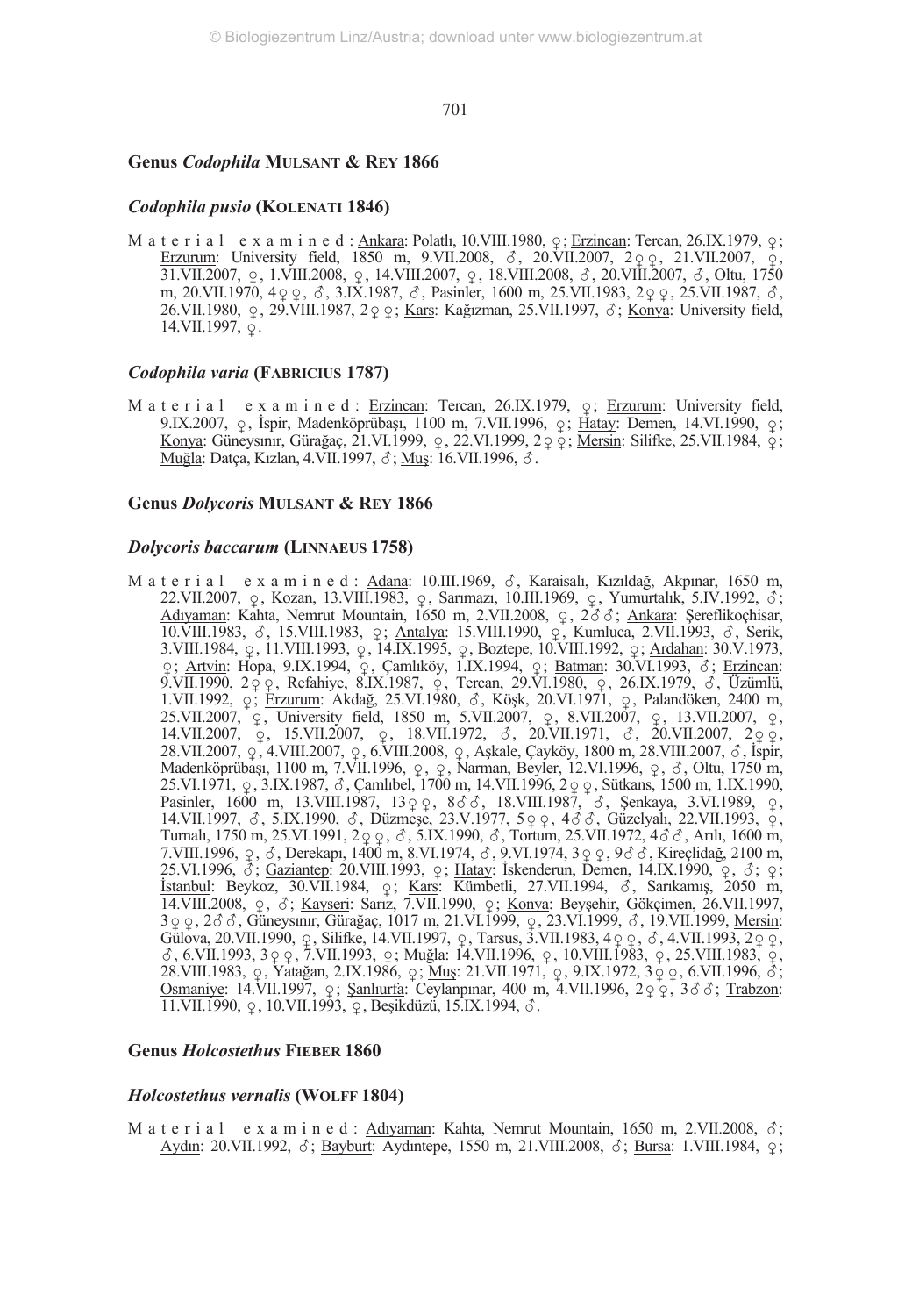## **Genus** *Codophila* **MULSANT & REY 1866**

#### *Codophila pusio* **(KOLENATI 1846)**

M a t e r i a l e x a m i n e d : Ankara: Polatlı, 10.VIII.1980,  $\varphi$ ; Erzincan: Tercan, 26.IX.1979,  $\varphi$ ; Erzurum: University field, 1850 m, 9.VII.2008,  $\delta$ , 20.VII.2007, 200, 21.VII.2007, 0, 21.VII.2007, 0, 21.VII.2007, 0, 21.VII.2007, 0, 21.VII.2007, 0, 21.VII.2007, 0, 21.VII.2009, 21.VII.2009, 21.VII.2009, 21.VII.2009, 21  $31. \text{VII}.2007, \, \varphi$ ,  $1. \text{VIII}.2008, \, \varphi$ ,  $14. \text{VIII}.2007, \, \varphi$ ,  $18. \text{VIII}.2008, \, \varphi$ ,  $20. \text{VIII}.2007, \, \varphi$ ,  $\Omega$  thu,  $1750$ m, 20.VII.1970, 4  $\varphi$   $\varphi$ ,  $\delta$ , 3.IX.1987,  $\delta$ , Pasinler, 1600 m, 25.VII.1983, 2  $\varphi$   $\varphi$ , 25.VII.1987,  $\delta$ , 25.VII.1987,  $\delta$ 26.VII.1980, ç, 29.VIII.1987, 2çç; <u>Kars</u>: Kağızman, 25.VII.1997, *δ*; <u>Konya</u>: University field,<br>14.WI-1987  $14.$ VII.1997,  $\circ$ .

#### *Codophila varia* **(FABRICIUS 1787)**

M a t e r i a l e x a m i n e d : Erzincan: Tercan, 26.IX.1979,  $\varphi$ ; Erzurum: University field, 9.IX.2007,  $\varphi$ , İspir, Madenköprübaşı, 1100 m, 7.VII.1996,  $\varphi$ ; <u>Hatay</u>: Demen, 14.VI.1990,  $\varphi$ ; <u>Konya</u>: Güneysınır, Gürağaç, 21.VI.1999,  $\varphi$ , 22.VI.1999, 2 $\varphi$ , <u>Mersin</u>: Silifke, 25.VII.1984,  $\varphi$ ; Muğla: Datça, Kızlan, 4.VII.1997, 8; <u>Muş</u>: 16.VII.1996, 8.

#### **Genus** *Dolycoris* **MULSANT & REY 1866**

#### *Dolycoris baccarum* **(LINNAEUS 1758)**

Material examined: <u>Adana</u>: 10.III.1969, δ, Karaisalı, Kızıldağ, Akpınar, 1650 m,  $22. VII. 2007, \varphi$ , Kozan, 13.VIII.1983,  $\varphi$ , Sarımazı, 10.III.1969,  $\varphi$ , Yumurtalık, 5.IV.1992,  $\sigma$ ; Adıyaman: Kahta, Nemrut Mountain, 1650 m, 2.VII.2008,  $\varphi$ ,  $2\vec{\sigma} \cdot \vec{\sigma}$ ; Ankara: Sereflikoçhisar,  $10. VIII.1983, \delta$ , 15.VIII.1983,  $\varphi$ ; Antalya: 15.VIII.1990,  $\varphi$ , Kumluca, 2.VII.1993,  $\delta$ , Serik,  $3. VIII.1984, \varphi$ , 11.VIII.1993,  $\varphi$ , 14.IX.1995,  $\varphi$ , Boztepe, 10.VIII.1992,  $\varphi$ ; Ardahan: 30.V.1973,  $\frac{1}{2}$ ; Artvin: Hopa, 9.IX.1994,  $\frac{1}{2}$ , Çamlıköy, 1.IX.1994,  $\frac{1}{2}$ ; Batman: 30.VI.1993,  $\delta$ ; Erzincan:  $9. \text{VII.1990, } 2 \varphi \varphi$ , Refahiye,  $8. \text{IX.1987, } \varphi$ , Tercan,  $29. \text{VI.1980, } \varphi$ ,  $26. \text{IX.1979, } \varphi$ , Üzümlü, 1.VII.1992,  $\varphi$ ; <u>Erzurum</u>: Akdağ, 25.VI.1980,  $\sigma$ , Köşk, 20.VI.1971,  $\varphi$ , Palandöken, 2400 m,  $25.\text{VII}.2007, \; \varphi, \; \text{University field}, \; 1850 \; \text{m}, \; 5.\text{VII}.2007, \; \varphi, \; 8.\text{VII}.2007, \; \varphi, \; 13.\text{VII}.2007, \; \varphi, \; 13.\text{VII}.2007, \; \varphi, \; 14.\text{VII}.2007, \; \varphi, \; 15.\text{VII}.2007, \; \varphi, \; 15.\text{VII}.2007, \; \varphi, \; 16.\text{VII}.2007, \; \varphi, \; 17$  $14.\text{VII}.2007, \quad \varphi, \quad 15.\text{VII}.2007, \quad \varphi, \quad 18.\text{VII}.1972, \quad \vec{\sigma}, \quad 20.\text{VII}.1971, \quad \vec{\sigma}, \quad 20.\text{VII}.2007, \quad 2\varphi \varphi,$ 28.VII.2007, Q, 4.VIII.2007, Q, 6.VIII.2008, Q, Aşkale, Çayköy, 1800 m, 28.VIII.2007, *δ*, İspir, Madenköprübaşı, 1100 m, 7.VII.1996, 9, 9, Narman, Beyler, 12.VI.1996, 9, 8, Oltu, 1750 m, 25.VI.1971, <u>9, 3.IX.1987,  $\sigma$ , Camlibel, 1700 m, 14.VII.1996, 2 q q , Sütkans, 1500 m, 1.IX.1990</u>, Pasinler, 1600 m, 13.VIII.1987, 13. p, 8  $\sigma$ , 8  $\sigma$ , 18.VIII.1987,  $\sigma$ , Senkaya, 3.VI.1989,  $\sigma$ ,  $14.\text{VII}.1997, \, \delta$ ,  $5.\text{IX}.1990, \, \delta$ , Düzmeşe,  $23.\text{V}.1977, \, 59.9, \, 43.6$ , Güzelyalı,  $22.\text{VII}.1993, \, \rho$ , Turnalı, 1750 m, 25.VI.1991, 2, 2, 3, 5.IX.1990, 3, Tortum, 25.VII.1972, 43 3, Arılı, 1600 m, 7.VIII.1996, ♀, ♂, Derekapı, 1400 m, 8.VI.1974, ♂, 9.VI.1974, 3♀ ♀, 9♂ ♂, Kireçlidağ, 2100 m,  $25 \text{ VI.1996}, \delta$ ; Gaziantep: 20.VIII.1993,  $\varphi$ ; Hatay: İskenderun, Demen, 14.IX.1990,  $\varphi$ ,  $\delta$ ;  $\varphi$ ;  $\underline{\text{İstanbul:}}$  Beykoz, 30.VII.1984,  $\varphi$ ; <u>Kars</u>: Kümbetli, 27.VII.1994,  $\delta$ , Sarıkamış, 2050 m, 14.VIII.2008, <sub>9</sub>, *δ*; <u>Kayseri</u>: Sarız, 7.VII.1990, <sub>9</sub>; <u>Konya</u>: Beyşehir, Gökçimen, 26.VII.1997,  $3\circ$   $9, 2\circ$   $\circ$ , Güneysınır, Gürağaç, 1017 m, 21.VI.1999,  $\circ$ , 23.VI.1999,  $\circ$ , 19.VII.1999, Mersin: Gülova, 20.VII.1990, <sub>Q</sub>, Silifke, 14.VII.1997, <sub>Q</sub>, Tarsus, 3.VII.1983, 4 q q, *δ*, 4.VII.1993, 2 q q, *δ*, 6.VII.1993, 3 q q, 7.VII.1993, q, <u>Muğla</u>: 14.VII.1996, q, 10.VIII.1983, q, 25.VIII.1983, q, 28.VIII.1983, ♀, Yatağan, 2.IX.1986, ♀, <u>Mus</u>: 21.VII.1971, ♀, 9.IX.1972, 3♀♀, 6.VII.1996, ♂, Osmaniye: 14.VII.1997,  $\varphi$ ; <u>Şanlıurfa</u>: Ceylanpınar, 400 m, 4.VII.1996, 2 $\varphi$   $\varphi$ , 3 $\delta$   $\delta$ ; Trabzon:  $11.$ VII.1990,  $\varphi$ , 10.VII.1993,  $\varphi$ , Beşikdüzü, 15.IX.1994,  $\delta$ .

#### **Genus** *Holcostethus* **FIEBER 1860**

#### *Holcostethus vernalis* **(WOLFF 1804)**

M a t e r i a l e x a m i n e d : <u>Adıyaman</u>: Kahta, Nemrut Mountain, 1650 m, 2.VII.2008, δ; Aydın: 20.VII.1992, δ; <u>Bayburt</u>: Aydıntepe, 1550 m, 21.VIII.2008, δ; <u>Bursa</u>: 1.VIII.1984, <sub>9</sub>;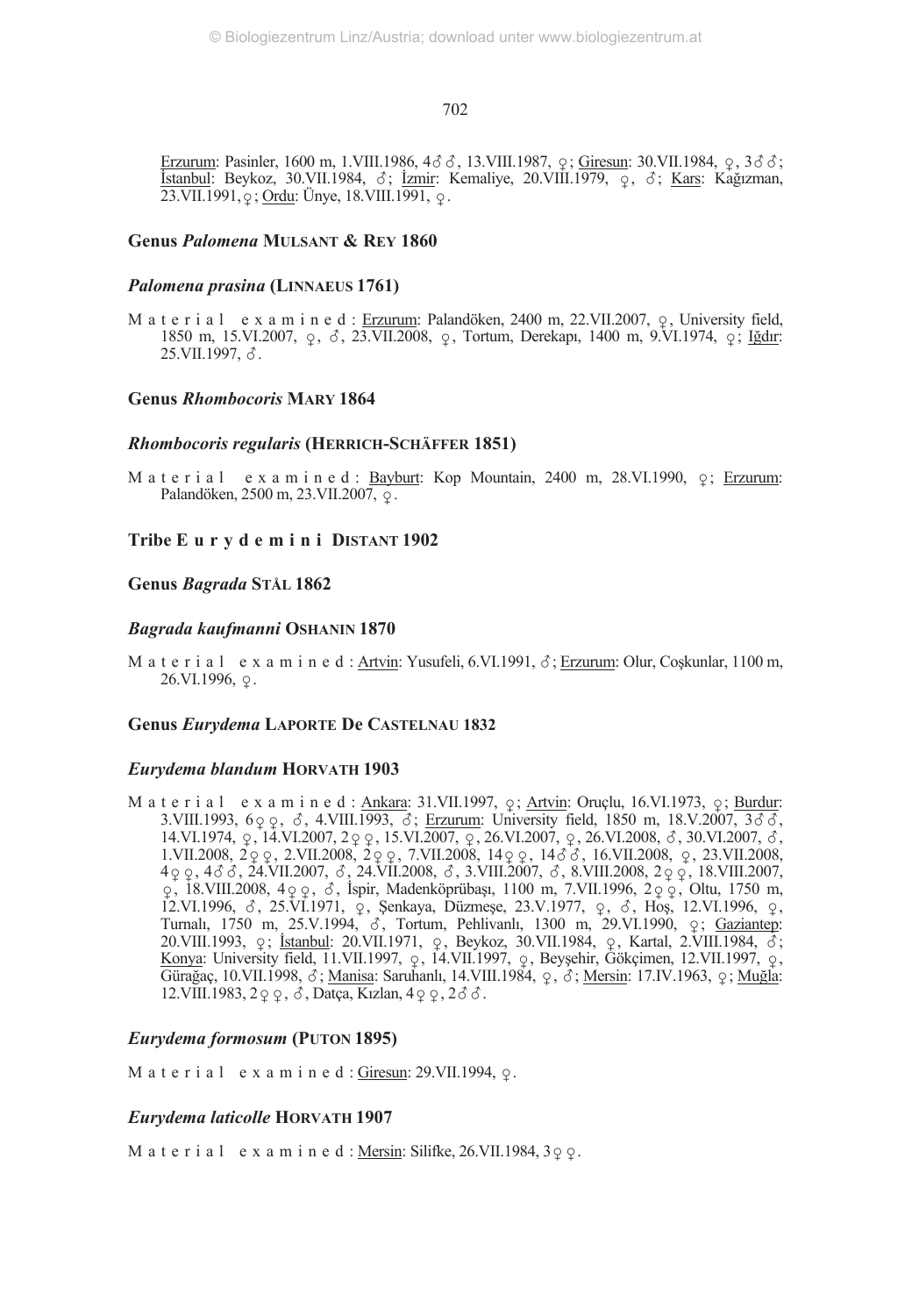Erzurum: Pasinler, 1600 m, 1.VIII.1986, 43 8, 13.VIII.1987,  $\varphi$ ; <u>Giresun</u>: 30.VII.1984,  $\varphi$ , 33 8; <u>İstanbul</u>: Beykoz, 30.VII.1984, *3*; <u>İzmir</u>: Kemaliye, 20.VIII.1979, ç, *3*; <u>Kars</u>: Kağızman,  $23.\overline{\text{VII}}.1991, \circ$ ; Ordu: Ünye, 18.VIII.1991,  $\circ$ .

## **Genus** *Palomena* **MULSANT & REY 1860**

#### *Palomena prasina* **(LINNAEUS 1761)**

M a t e r i a l e x a m i n e d : Erzurum: Palandöken,  $2400$  m,  $22$ , VII.2007,  $\circ$ , University field, 1850 m, 15.VI.2007, ç, δ, 23.VII.2008, ç, Tortum, Derekapı, 1400 m, 9.VI.1974, ç; <u>Iğdır</u>: 25.VII.1997, ♂.

## **Genus** *Rhombocoris* **MARY 1864**

#### *Rhombocoris regularis* **(HERRICH-SCHÄFFER 1851)**

M a t e r i a l e x a m i n e d : Bayburt: Kop Mountain, 2400 m, 28.VI.1990,  $\varphi$ ; Erzurum: Palandöken, 2500 m, 23. VII. 2007,  $\varphi$ .

## **Tribe Eurydemini DISTANT 1902**

#### **Genus** *Bagrada* **STÅL 1862**

## *Bagrada kaufmanni* **OSHANIN 1870**

Material examined: <u>Artvin</u>: Yusufeli, 6.VI.1991, δ; <u>Erzurum</u>: Olur, Coşkunlar, 1100 m,  $26. VI.1996, \varphi$ .

## **Genus** *Eurydema* **LAPORTE De CASTELNAU 1832**

## *Eurydema blandum* **HORVATH 1903**

Material examined: Ankara: 31.VII.1997,  $\varphi$ ; Artvin: Oruçlu, 16.VI.1973,  $\varphi$ ; Burdur:  $3. \text{VIII}.1993, 699, 6, 4. \text{VIII}.1993, 6; \underline{\text{Ezzurum}}$ : University field, 1850 m, 18.V.2007, 366, 14.VI.1974, Q, 14.VI.2007, 2Q Q, 15.VI.2007, Q, 26.VI.2007, Q, 26.VI.2008, δ, 30.VI.2007, δ, 1.VII.2008, 2 9 9, 2.VII.2008, 2 9 9, 7.VII.2008, 14 9 9, 14 3 3, 16.VII.2008, 9, 23.VII.2008, 4 Q Q , 4 3 6 , 24.VII.2007, 6 , 24.VII.2008, 6 , 3.VIII.2007, 6 , 8.VIII.2008, 2 Q Q , 18.VIII.2007,  $\varphi$ , 18.VIII.2008, 4 $\varphi$ ,  $\delta$ , İspir, Madenköprübaşı, 1100 m, 7.VII.1996, 2 $\varphi$   $\varphi$ , Oltu, 1750 m, 12.VI.1996,  $\delta$ , 25.VI.1971,  $\varphi$ , Senkaya, Düzmeşe, 23.V.1977,  $\varphi$ ,  $\delta$ , Hoş, 12.VI.1996,  $\varphi$ , Turnalı, 175 20.VIII.1993, Q; <u>İstanbul</u>: 20.VII.1971, Q, Beykoz, 30.VII.1984, Q, Kartal, 2.VIII.1984, δ; Konya: University field, 11.VII.1997,  $\varphi$ , 14.VII.1997,  $\varphi$ , Beyşehir, Gökçimen, 12.VII.1997,  $\varphi$ , Gürağaç, 10.VII.1998, &; <u>Manisa</u>: Saruhanlı, 14.VIII.1984, ç, &; <u>Mersin</u>: 17.IV.1963, ç; <u>Muğla</u>:  $12.VIII.1983, 2 \varphi, \varphi, \Im$  Datça, Kızlan,  $4 \varphi, 2 \varphi, \varphi$ .

## *Eurydema formosum* **(PUTON 1895)**

M a t e r i a  $l$  e x a m i n e d : Giresun: 29.VII.1994,  $\varphi$ .

#### *Eurydema laticolle* **HORVATH 1907**

M a t e r i a l e x a m i n e d : Mersin: Silifke, 26. VII. 1984,  $3 \circ \circ$ .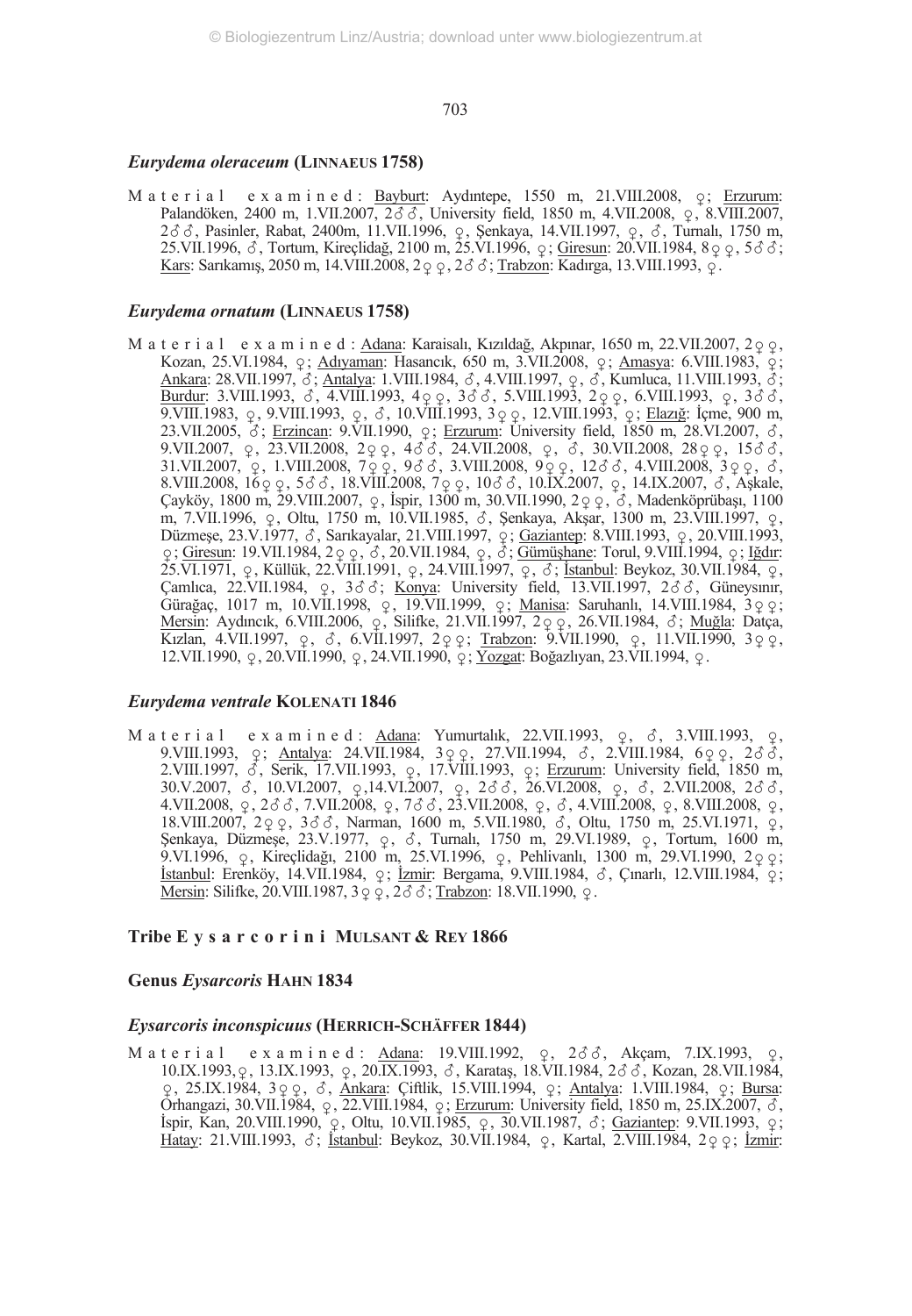#### *Eurydema oleraceum* **(LINNAEUS 1758)**

M a t e r i a l e x a m i n e d : Bayburt: Aydıntepe, 1550 m, 21.VIII.2008, 9; Erzurum: Palandöken, 2400 m, 1.VII.2007, 2 $\sigma$   $\sigma$ , University field, 1850 m, 4.VII.2008,  $\sigma$ , 8.VIII.2007, 23 c , Pasinler, Rabat, 2400m, 11.VII.1996, 9, Şenkaya, 14.VII.1997, 9, c , Turnalı, 1750 m, 25.VII.1996, δ, Tortum, Kireçlidağ, 2100 m, 25.VI.1996, ç; <u>Giresun</u>: 20.VII.1984, 8 ç ç, 5 δ δ;<br>*K* <u>Kars</u>: Sarıkamış, 2050 m, 14.VIII.2008, 2 ç ç , 2 c 5 ; <u>Trabzon</u>: Kadırga, 13.VIII.1993, ç .

#### *Eurydema ornatum* **(LINNAEUS 1758)**

Material examined: <u>Adana</u>: Karaisalı, Kızıldağ, Akpınar, 1650 m, 22.VII.2007, 2 $\varphi$ , Kozan, 25.VI.1984,  $\varphi$ ; <u>Adıyaman</u>: Hasancık, 650 m, 3.VII.2008,  $\varphi$ ; <u>Amasya</u>: 6.VIII.1983,  $\varphi$ ; Kozan, 25.VI.1984, ç; <u>Adıyaman</u>: Hasancık, 650 m, 3.VII.2008, ç; <u>Amasya</u>: 6.VIII.1983, ç; Antara: 28.VII.1997, *3*; Antalya: 1.VIII.1984, *q*; Antalya: 1.VIII.1997, *3.*<br>Ankara: 28.VII.1997, *3*; Antalya: 1.VIII.1984, *3*  $\underline{Burdur}$ : 3.VIII.1993, 3, 4.VIII.1993, 40 0, 33 3, 5.VIII.1993, 20 0, 6.VIII.1993, 0, 33 3, 9.VIII.1983,  $\varphi$ , 9.VIII.1993,  $\varphi$ ,  $\vec{\sigma}$ , 10.VIII.1993, 3 $\varphi$ , 12.VIII.1993,  $\varphi$ ; <u>Elazığ</u>: Içme, 900 m, 23.VI.2005,  $\vec{\sigma}$ ; <u>Erzincan</u>: 9.VII.1990,  $\varphi$ ; <u>Erzurum</u>: University field, 1850 m, 28.VI.2007,  $\vec{\sigma$  $9. \text{VII}.2007, \, \varphi, \, 23. \text{VII}.2008, \, 2\varphi, \, 4\vec{\sigma} \cdot \vec{\sigma}, \, 24. \text{VII}.2008, \, \varphi, \, \vec{\sigma}, \, 30. \text{VII}.2008, \, 28\varphi, \, 15\vec{\sigma} \cdot \vec{\sigma}, \, 24. \text{VII}.2008, \, 26. \text{VII}.2008, \, 28. \text{VII}.2008, \, 29. \text{VII}.2008, \, 29. \text{VII}.2008, \,$  $31.\text{VII}.2007, \, \varphi$ ,  $1.\text{VIII}.2008, \, 7\varphi \varphi$ ,  $9\delta$ ,  $\delta$ ,  $3.\text{VIII}.2008, \, 9\varphi \varphi$ ,  $12\delta$ ,  $\delta$ ,  $4.\text{VIII}.2008, \, 3\varphi \varphi$ ,  $\delta$ ,  $8. VIII. 2008, 1699, 560, 18. VIII. 2008, 799, 1000, 201, 9, 14. IX. 2007, 6, 4.18.$  $\frac{1000 \text{ m}}{2400 \text{ m}}$ , 29.VIII.2007,  $\varphi$ , Ispir, 1300 m, 30.VII.1990,  $2 \varphi$ ,  $\varphi$ ,  $\phi$ , Madenköprübaşı, 1100 m, 7.VII.1996, ç, Oltu, 1750 m, 10.VII.1985,  $\delta$ , Şenkaya, Akşar, 1300 m, 23.VIII.1997, ç, Düzmeşe, 23.V.1977,  $\delta$ , Sarıkayalar, 21.VIII.1997, ç, <u>Gaziantep</u>: 8.VIII.1993, <sub>Q</sub>, 20.VIII.1993,  $\frac{1}{2}$ ; Giresun: 19.VII.1984, 2  $\frac{1}{2}$   $\frac{2}{3}$ ,  $\frac{3}{2}$ , 20.VII.1984,  $\frac{2}{3}$ ,  $\frac{3}{2}$ ; Gümüşhane: Torul, 9.VIII.1994,  $\frac{1}{2}$ ; <u>Iğdır</u>:  $25. \text{VI}.1971, \, \varphi$ , Küllük, 22.VIII.1991,  $\varphi$ , 24.VIII.1997,  $\varphi$ ,  $\vec{\sigma}$ ; <u>Istanbul</u>: Beykoz, 30.VII.1984,  $\varphi$ ,  $\text{Camlica, } 22.\text{VII.1984, } \varphi, 3\delta\delta; \text{ Konya: University field, 13.\text{VII.1997, } 2\delta\delta; \text{ Güneysnur, } 2\delta\delta$ Gürağaç, 1017 m, 10.VII.1998, 9, 19.VII.1999, 9; <u>Manisa</u>: Saruhanlı, 14.VIII.1984, 399;<br>Manisa ile elektrik bir alan 1997, 2007, 2007, 2007, 2007, 2007, 2007, 2007, 2007, 2007, 2007, 2007, 2007, 20 Mersin: Aydıncık, 6.VIII.2006, o. Silifke, 21.VII.1997, 2o. o. 26.VII.1984, 3; Muğla: Datça, Kızlan, 4.VII.1997,  $\varphi$ ,  $\vec{\sigma}$ , 6.VII.1997, 2 $\varphi$   $\varphi$ ; Trabzon: 9.VII.1990,  $\varphi$ , 11.VII.1990, 3 $\varphi$  $\varphi$ , 12.VII.1990,  $\varphi$ , 20.VII.1990,  $\varphi$ , 24.VII.1990,  $\varphi$ ; <u>Yozgat</u>: Boğazlıyan, 23.VII.1994,  $\varphi$ .

#### *Eurydema ventrale* **KOLENATI 1846**

Material examined:  $\frac{\text{Adam}}{\text{Adam}}$ : Yumurtalık, 22.VII.1993,  $\varphi$ ,  $\delta$ , 3.VIII.1993,  $\varphi$  $9. \text{VIII.1993}, \quad Q; \text{ Antalya: } 24. \text{VII.1984}, \quad 39. \text{°C}, \quad 27. \text{VII.1994}, \quad \delta, \quad 2. \text{VIII.1984}, \quad 69. \text{°C}, \quad 20. \text{°C}, \quad 20. \text{°C}$ 2.VIII.1997, *δ*, Serik, 17.VII.1993, *φ*, 17.VIII.1993, *φ*; <u>Erzurum</u>: University field, 1850 m,<br>30.V.2007, *δ*, 10.VI.2007, *φ*, 14.VI.2007, *φ*, 2*δ* δ, 26.VI.2008, *φ*, *δ*, 2.VII.2008, 2*δ* δ, 4.VII.2008, , 2--, 7.VII.2008, , 7--, 23.VII.2008, , -, 4.VIII.2008, , 8.VIII.2008, ,  $18.\text{VIII}.2007, 299, 300, \text{Narman}, 1600 \text{ m}, 5.\text{VII}.1980, 6, \text{Oltu}, 1750 \text{ m}, 25.\text{VI}.1971, 9,$ Şenkaya, Düzmeşe, 23.V.1977, ç, *δ*, Turnalı, 1750 m, 29.VI.1989, ç, Tortum, 1600 m, 9.VI.1996,  $\varphi$ , Kireçlidağı, 2100 m, 25.VI.1996,  $\varphi$ , Pehlivanlı, 1300 m, 29.VI.1990, 2 $\varphi$ , <u>İstanbul</u>: Erenköy, 14.VII.1984, ç; <u>İzmir</u>: Bergama, 9.VIII.1984, δ, Çınarlı, 12.VIII.1984, ç; <u>Mersin</u>: Silifke, 20.VIII.1987, 3 φ φ, 2δ δ; <u>Trabzon</u>: 18.VII.1990, φ.

#### **Tribe Eysarcorini MULSANT & REY 1866**

#### **Genus** *Eysarcoris* **HAHN 1834**

#### *Eysarcoris inconspicuus* **(HERRICH-SCHÄFFER 1844)**

Material examined: <u>Adana</u>: 19.VIII.1992, 9, 288, Akçam, 7.IX.1993, 9, 10.IX.1993, Q, 13.IX.1993, Q, 20.IX.1993,  $\sigma$ , Karataş, 18.VII.1984, 2 $\sigma$  $\sigma$ , Kozan, 28.VII.1984,  $\varphi$ , 25.IX.1984, 3 $\varphi$ ,  $\delta$ , Ankara: Çiftlik, 15.VIII.1994,  $\varphi$ ; Antalya: 1.VIII.1984,  $\varphi$ ; Bursa: Orhangazi, 30.VII.1984, 9, 22.VIII.1984, 9; Erzurum: University field, 1850 m, 25.IX.2007, 3, İspir, Kan, 20.VIII.1990, <sub>9</sub>, Oltu, 10.VII.1985, 9, 30.VII.1987, *δ*, Gaziantep: 9.VII.1993, 9, <u>Hatay</u>: 21.VIII.1993, *δ*; <u>İstanbul</u>: Beykoz, 30.VII.1984, ♀, Kartal, 2.VIII.1984, 2♀♀; <u>İzmir</u>: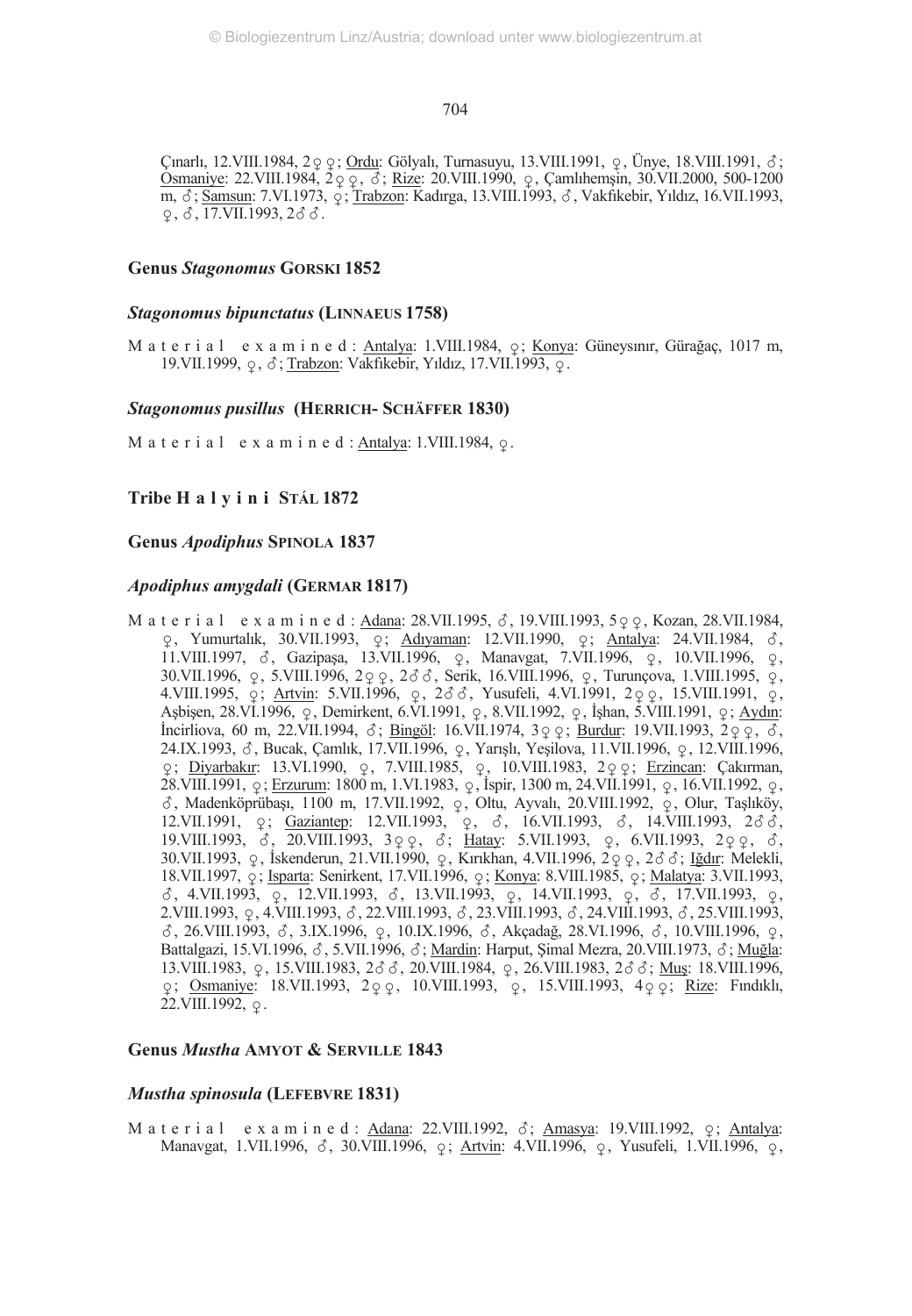$\text{C}$ marlı, 12.VIII.1984, 2 o o Ordu: Gölyalı, Turnasuyu, 13.VIII.1991, o Unye, 18.VIII.1991,  $\delta$ ;  $\delta$ ;  $\underline{\text{Osmaniye}}$ : 22.VIII.1984, 2 º º,  $\delta$ ; <u>Rize</u>: 20.VIII.1990, °, Camlıhemşin, 30.VII.2000, 500-1200 m,  $\delta$ ; <u>Samsun</u>: 7.VI.1973,  $\varphi$ ; <u>Trabzon</u>: Kadırga, 13.VIII.1993,  $\delta$ , Vakfıkebir, Yıldız, 16.VII.1993,  $\varphi$ ,  $\delta$ , 17.VII.1993, 2 $\delta$   $\delta$ .

#### **Genus** *Stagonomus* **GORSKI 1852**

#### *Stagonomus bipunctatus* **(LINNAEUS 1758)**

M a t e r i a l e x a m i n e d : Antalya: 1.VIII.1984,  $\varphi$ ; Konya: Güneysınır, Gürağaç, 1017 m, 19.VII.1999, ç, *δ*; <u>Trabzon</u>: Vakfikebir, Yıldız, 17.VII.1993, ç.

## *Stagonomus pusillus* **(HERRICH- SCHÄFFER 1830)**

M a t e r i a l e x a m i n e d :  $\Delta$ ntalya: 1.VIII.1984,  $\varphi$ .

## **Tribe Halyini STÁL 1872**

#### **Genus** *Apodiphus* **SPINOLA 1837**

## *Apodiphus amygdali* **(GERMAR 1817)**

Material examined: <u>Adana</u>: 28.VII.1995, 8, 19.VIII.1993, 5 $\varphi$ , Kozan, 28.VII.1984,  $\varphi$ , Yumurtalık, 30.VII.1993,  $\varphi$ ; <u>Adıyaman</u>: 12.VII.1990,  $\varphi$ ; Antalya: 24.VII.1984,  $\delta$ , 11.VIII.1997, *Š*, Gazipaşa, 13.VII.1996, <sub>Q</sub>, Manavgat, 7.VII.1996, <sub>Q</sub>, 10.VII.1996, <sub>Q</sub>, 30.VII.1996, Q, 5.VIII.1996, 2 Q Q, 2 o d, Serik, 16.VIII.1996, Q, Turunçova, 1.VIII.1995, Q,  $4. VIII. 1995, \varphi$ ; <u>Artvin</u>: 5.VII.1996,  $\varphi$ , 2 $\delta$   $\delta$ , Yusufeli, 4.VI.1991, 2 $\varphi$ , 15.VIII.1991,  $\varphi$ , Aşbişen, 28.VI.1996,  $\varphi$ , Demirkent, 6.VI.1991,  $\varphi$ , 8.VII.1992,  $\varphi$ , İşhan, 5.VIII.1991,  $\varphi$ ; Aydın: Incirliova, 60 m, 22.VII.1994, δ, <u>Bingöl</u>: 16.VII.1974, 3 φ φ, <u>Burdur</u>: 19.VII.1993, 2 φ φ, δ, 24.IX.1993, &, Bucak, Çamlık, 17.VII.1996,  $\varphi$ , Yarışlı, Yeşilova, 11.VII.1996,  $\varphi$ , 12.VIII.1996,  $\varphi$ ; Diyarbakır: 13.VI.1990,  $\varphi$ , 7.VIII.1985,  $\varphi$ , 10.VIII.1983, 2 $\varphi$  $\varphi$ ; Erzincan: Çakırman, 28.VIII.1991,  $\varphi$ ; Erzurum: 1800 m, 1.VI.1983,  $\varphi$ , İspir, 1300 m, 24.VII.1991,  $\varphi$ , 16.VII.1992,  $\varphi$ , δ, Madenköprübaşı, 1100 m, 17. VII. 1992,  $\varphi$ , Oltu, Ayvalı, 20. VIII. 1992,  $\varphi$ , Olur, Taşlıköy,  $12.\text{VII}.1991, \quad Q; \quad \frac{\text{Gaziantep}}{\text{Gazantep}}$  12.VII.1993,  $Q, \quad \delta, \quad 16.\text{VII}.1993, \quad \delta, \quad 14.\text{VIII}.1993, \quad 2\delta\delta,$  $19. \text{VIII.1993}, \quad \delta_1, 20. \text{VIII.1993}, \quad 3 \circ \rho, \quad \delta_2, \quad \text{Hatay:} \quad 5. \text{VII.1993}, \quad \rho, \quad 6. \text{VII.1993}, \quad 2 \circ \rho, \quad \delta_2, \quad \delta_3, \quad \text{Hatay:} \quad 6. \text{VII.1993}, \quad \rho, \quad 6. \text{VII.1993}, \quad 2 \circ \rho, \quad \delta_3, \quad \text{Hatay:} \quad 6. \text{VII.1993}, \quad \rho, \quad 6$ 30.VII.1993, ç, İskenderun, 21.VII.1990, ç, Kırıkhan, 4.VII.1996, 2çç, 2öö; <u>Iğdır</u>: Melekli, 18.VII.1997,  $\varphi$ ; Isparta: Senirkent, 17.VII.1996,  $\varphi$ ; Konya: 8.VIII.1985,  $\varphi$ ; Malatya: 3.VII.1993,  $\delta$ , 4.VII.1993,  $\varphi$ , 12.VII.1993,  $\delta$ , 13.VII.1993,  $\varphi$ , 14.VII.1993,  $\varphi$ ,  $\delta$ , 17.VII.1993,  $\varphi$ , 2.VIII.1993, ♀, 4.VIII.1993, ♂, 22.VIII.1993, ♂, 23.VIII.1993, ♂, 24.VIII.1993, ♂, 25.VIII.1993,  $\circ$ , 26.VIII.1993,  $\circ$ , 3.IX.1996,  $\circ$ , 10.IX.1996,  $\circ$ , Akçadağ, 28.VI.1996,  $\circ$ , 10.VIII.1996,  $\circ$ , Battalgazi, 15.VI.1996,  $\delta$ , 5.VII.1996,  $\delta$ ; *Mardin: Harput, Şimal Mezra, 20.VIII.1973,*  $\delta$ *; Muğla:*  $13. VIII. 1983, 9, 15. VIII. 1983, 2 \delta \delta, 20. VIII. 1984, 9, 26. VIII. 1983, 2 \delta \delta; Mus: 18. VIII. 1996,$  $\circ$ ; Osmaniye: 18.VII.1993, 2,  $\circ$ , 10.VIII.1993,  $\circ$ , 15.VIII.1993, 4,  $\circ$ , Rize: Findikli, 22. VIII. 1992,  $\varphi$ .

## **Genus** *Mustha* **AMYOT & SERVILLE 1843**

#### *Mustha spinosula* **(LEFEBVRE 1831)**

M a t e r i a l e x a m i n e d : <u>Adana</u>: 22.VIII.1992, <del>8; <u>Amasya</u>: 19.VIII.1992, <sub>9</sub>; <u>Antalya</u>: 19.VIII.1992, <sub>1</sub></del> Manavgat, 1.VII.1996, *δ*, 30.VIII.1996, *ç*; <u>Artvin</u>: 4.VII.1996, *ç*, Yusufeli, 1.VII.1996, *ç*,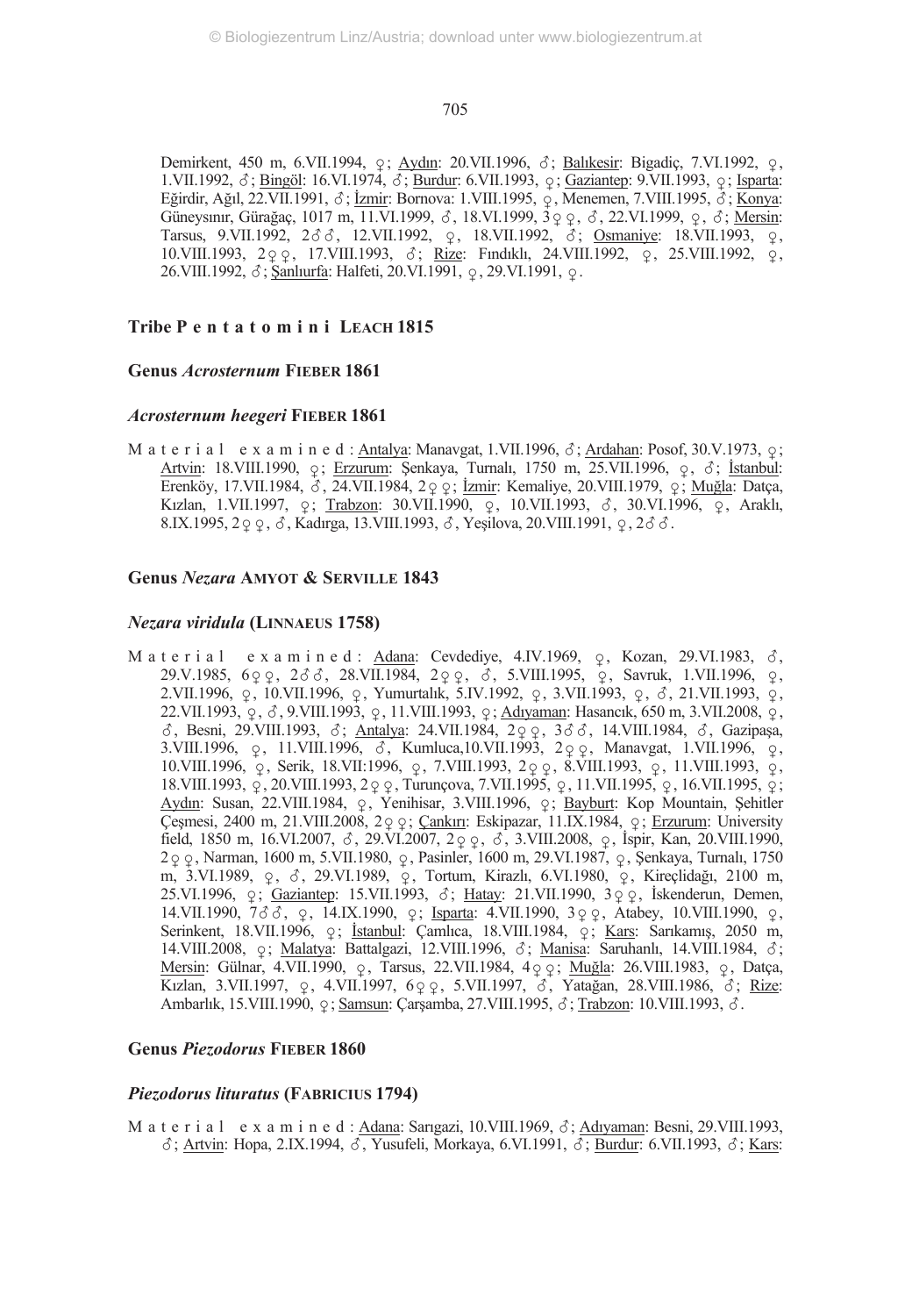Demirkent, 450 m, 6.VII.1994, ç; <u>Aydın</u>: 20.VII.1996, δ; <u>Balıkesir</u>: Bigadiç, 7.VI.1992, ç, 1.VII.1992,  $\delta$ ; <u>Bingöl</u>: 16.VI.1974,  $\delta$ ; <u>Burdur</u>: 6.VII.1993,  $\varphi$ ; Gaziantep: 9.VII.1993,  $\varphi$ ; Isparta: Eğirdir, Ağıl, 22.VII.1991,  $\delta$ ; <u>İzmir</u>: Bornova: 1.VIII.1995,  $\varphi$ , Menemen, 7.VIII.1995,  $\delta$ ; <u>Konya</u>: Güneysınır, Gürağaç, 1017 m, 11.VI.1999,  $\delta$ , 18.VI.1999, 3  $\varphi$ ,  $\delta$ , 22.VI.1999,  $\varphi$ ,  $\delta$ ; Mersin: Tarsus, 9.VII.1992,  $2\sigma\sigma$ , 12.VII.1992,  $\sigma$ , 18.VII.1992,  $\sigma$ ; <u>Osmaniye</u>: 18.VII.1993,  $\sigma$ ,  $10.\text{VIII}.1993, 299, 17.\text{VIII}.1993, \delta$ ; <u>Rize</u>: Findikli, 24.VIII.1992, 9, 25.VIII.1992, 9, 26.VIII.1992, *δ* ; <u>Şanlıurfa</u>: Halfeti, 20.VI.1991, ♀, 29.VI.1991, ♀.

## **Tribe P e n t a t o m i n i LEACH 1815**

## **Genus** *Acrosternum* **FIEBER 1861**

#### *Acrosternum heegeri* **FIEBER 1861**

Material examined: <u>Antalya</u>: Manavgat, 1.VII.1996, 8; <u>Ardahan</u>: Posof, 30.V.1973, 9; Artvin: 18.VIII.1990, ç; <u>Erzurum</u>: Şenkaya, Turnalı, 1750 m, 25.VII.1996, ç, *δ*; <u>İstanbul</u>: Erenköy, 17.VII.1984, *δ*, 24.VII.1984, 2 o o ; <u>İzmir</u>: Kemaliye, 20.VIII.1979, o ; <u>Muğla</u>: Datça, Kızlan, 1.VII.1997, ç; <u>Trabzon</u>: 30.VII.1990, ç, 10.VII.1993, *ð*, 30.VI.1996, ç, Araklı, 8.IX.1995, 2  $\varphi$ ,  $\delta$ , Kadırga, 13.VIII.1993,  $\delta$ , Yeşilova, 20.VIII.1991,  $\varphi$ , 2 $\delta$  $\delta$ .

## **Genus** *Nezara* **AMYOT & SERVILLE 1843**

## *Nezara viridula* **(LINNAEUS 1758)**

 $M$  a t e r i a l e x a m i n e d :  $\frac{Adam}{Mean}$ : Cevdediye, 4.IV.1969,  $\varphi$ , Kozan, 29.VI.1983,  $\delta$ ,  $29. V. 1985, 69. Q, 20.05, 28. VII. 1984, 29. Q, 3. VIII. 1995, 9. Savruk, 1. VII. 1996, 9. Z. 20. Q. 20. Q. 20. Q. 20. Q. 20. Q. 20. Q. 20. Q. 20. Q. 20. Q. 20. Q. 20. Q. 20. Q. 20. Q. 20. Q. 20. Q. 20. Q. 20. Q. 20. Q. 20. Q. 20. Q. 20. Q. 20. Q. 20. Q. 20.$ 2.VII.1996,  $\varphi$ , 10.VII.1996,  $\varphi$ , Yumurtalık, 5.IV.1992,  $\varphi$ , 3.VII.1993,  $\varphi$ ,  $\delta$ , 21.VII.1993,  $\varphi$ , 22.VII.1993, Q, δ, 9.VIII.1993, Q, 11.VIII.1993, Q; Adıyaman: Hasancık, 650 m, 3.VII.2008, Q, δ, Besni, 29. VIII. 1993, δ; <u>Antalya</u>: 24. VII. 1984, 2 Ω Ω, 3δδ, 14. VIII. 1984, δ, Gazipaşa,  $3. VIII. 1996, \varphi, 11. VIII. 1996, \varphi, Kumluca, 10. VII. 1993, 2\varphi, Manavgat, 1. VII. 1996, \varphi,$ 10.VIII.1996,  $\varphi$ , Serik, 18.VII:1996,  $\varphi$ , 7.VIII.1993, 2 $\varphi$ , 8.VIII.1993,  $\varphi$ , 11.VIII.1993,  $\varphi$ , 18. VIII. 1993, φ, 20. VIII. 1993, 2φ φ, Turunçova, 7. VII. 1995, φ, 11. VII. 1995, φ, 16. VII. 1995, φ; Aydın: Susan, 22.VIII.1984, <sub>9</sub>, Yenihisar, 3.VIII.1996, <sub>9</sub>; Bayburt: Kop Mountain, Şehitler Çeşmesi, 2400 m, 21.VIII.2008, 2 o o ; Cankırı: Eskipazar, 11.IX.1984, o ; Erzurum: University field, 1850 m, 16.VI.2007, -, 29.VI.2007, 2, -, 3.VIII.2008, , İspir, Kan, 20.VIII.1990,  $2 \varphi$ , Narman, 1600 m, 5.VII.1980,  $\varphi$ , Pasinler, 1600 m, 29.VI.1987,  $\varphi$ , Şenkaya, Turnalı, 1750 m, 3.VI.1989,  $\varphi$ ,  $\delta$ , 29.VI.1989,  $\varphi$ , Tortum, Kirazlı, 6.VI.1980,  $\varphi$ , Kireçlidağı, 2100 m, 25.VI.1996, ç; Gaziantep: 15.VII.1993, &; Hatay: 21.VII.1990, 3 c c as Iskenderun, Demen, 14.VII.1990, 7δδ, φ, 14.IX.1990, φ, Isparta: 4.VII.1990, 3φφ, Atabey, 10.VIII.1990, φ, Serinkent, 18.VII.1996, ç; <u>İstanbul</u>: Çamlıca, 18.VIII.1984, ç; <u>Kars</u>: Sarıkamış, 2050 m, 14.VIII.2008, ç, <u>Malatya</u>: Battalgazi, 12.VIII.1996, *δ*; <u>Manisa</u>: Saruhanlı, 14.VIII.1984, *δ*; Mersin: Gülnar, 4.VII.1990,  $\varphi$ , Tarsus, 22.VII.1984, 4 $\varphi$  , Muğla: 26.VIII.1983,  $\varphi$ , Datça, Kızlan, 3.VII.1997, <sub>9</sub>, 4.VII.1997, 6<sub>9 9</sub>, 5.VII.1997, *δ*, Yatağan, 28.VIII.1986, *δ*; <u>Rize</u>: Ambarlık, 15.VIII.1990, ç; <u>Samsun</u>: Çarşamba, 27.VIII.1995, *δ*; <u>Trabzon</u>: 10.VIII.1993, *δ*.

## **Genus** *Piezodorus* **FIEBER 1860**

#### *Piezodorus lituratus* **(FABRICIUS 1794)**

M a t e r i a l e x a m i n e d : <u>Adana</u>: Sarıgazi, 10.VIII.1969, 3; <u>Adıyaman</u>: Besni, 29.VIII.1993, 3; Artvin: Hopa, 2.IX.1994, 3, Yusufeli, Morkaya, 6.VI.1991, 3; Burdur: 6.VII.1993, 3; Kars: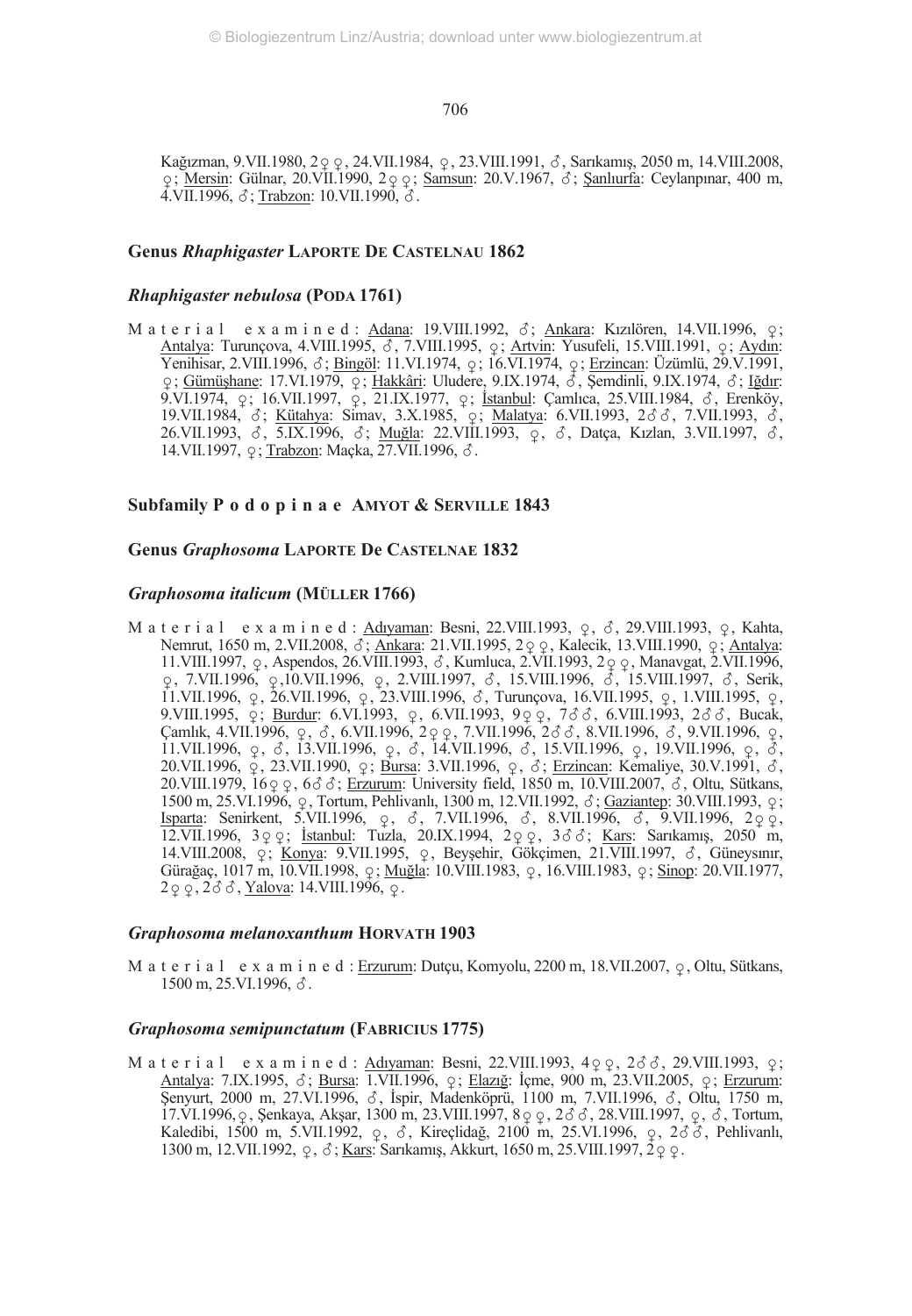Kağızman, 9.VII.1980, 2, 24.VII.1984, , 23.VIII.1991, -, Sarıkamış, 2050 m, 14.VIII.2008,  $\frac{1}{2}$ ; <u>Mersin</u>: Gülnar, 20.VII.1990, 2  $\frac{1}{2}$ ; <u>Samsun</u>: 20.V.1967,  $\delta$ ; <u>Sanlıurfa</u>: Ceylanpınar, 400 m, 4.VII.1996, *δ*; <u>Trabzon</u>: 10.VII.1990, *δ*.

## **Genus** *Rhaphigaster* **LAPORTE DE CASTELNAU 1862**

#### *Rhaphigaster nebulosa* **(PODA 1761)**

M a t e r i a l e x a m i n e d :  $\frac{\text{Adam}}{\text{Adam}}$ : 19.VIII.1992,  $\delta$ ;  $\frac{\text{Ankara}}{\text{N}}$ : Kızılören, 14.VII.1996,  $\varphi$ ; Antalya: Turunçova, 4.VIII.1995,  $\sigma$ , 7.VIII.1995,  $\varphi$ ; Artvin: Yusufeli, 15.VIII.1991,  $\varphi$ ; Aydın: Yenihisar, 2.VIII.1996,  $\delta$ ; <u>Bingöl</u>: 11.VI.1974,  $\varphi$ ; 16.VI.1974,  $\varphi$ ; <u>Erzincan</u>: Üzümlü, 29.V.1991,  $\frac{1}{2}$ ; Gümüşhane: 17.VI.1979,  $\frac{1}{2}$ ; <u>Hakkâri</u>: Uludere, 9.IX.1974,  $\delta$ , Şemdinli, 9.IX.1974,  $\delta$ ; <u>Iğdır</u>: 9.VI.1974, ç, 16.VII.1997, ç, 21.IX.1977, ç, <u>İstanbul</u>: Çamlıca, 25.VIII.1984, *δ*, Erenköy,  $19. \text{VII}.1984, \, \delta$ ; <u>Kütahya</u>: Simav,  $3. \text{X}.1985, \, \rho$ ; <u>Malatya</u>: 6.VII.1993,  $2 \delta \delta$ , 7.VII.1993,  $\delta$ ,  $\delta$ 26.VII.1993, δ, 5.IX.1996, δ; <u>Muğla</u>: 22.VIII.1993, ç, δ, Datça, Kızlan, 3.VII.1997, δ,<br>14.W.J.2007, S. 14.VII.1997,  $\varphi$ ; Trabzon: Maçka, 27.VII.1996, 3.

#### **Subfamily Podopinae AMYOT & SERVILLE 1843**

#### **Genus** *Graphosoma* **LAPORTE De CASTELNAE 1832**

#### *Graphosoma italicum* **(MÜLLER 1766)**

Material examined: <u>Adıyaman</u>: Besni, 22.VIII.1993, <sub>9</sub>, *3*, 29.VIII.1993, <sub>9</sub>, Kahta, Nemrut, 1650 m, 2.VII.2008,  $\delta$ ; Ankara: 21.VII.1995, 2, 2, 2, Kalecik, 13.VIII.1990, ..., Antalya:  $11. VIII. 1997, \varphi$ , Aspendos, 26.VIII.1993,  $\vec{\sigma}$ , Kumluca, 2.VII.1993, 2 $\varphi$ , Manavgat, 2.VII.1996,  $\varphi$ , 7.VII.1996,  $\varphi$ ,10.VII.1996,  $\varphi$ , 2.VIII.1997,  $\vec{\sigma}$ , 15.VIII.1996,  $\vec{\sigma}$ , 15.VIII.1997,  $\vec{\sigma}$ , Serik,  $11. \text{VII}.1996, \varphi, 26. \text{VII}.1996, \varphi, 23. \text{VIII}.1996, \mathcal{S}, \text{Turnnçova}, 16. \text{VII}.1995, \varphi, 1. \text{VIII}.1995, \varphi, 1. \text{VIII}.1995, \varphi, 1. \text{VIII}.1995, \varphi, 1. \text{VIII}.1995, \varphi, 1. \text{VIII}.1995, \varphi, 1. \text{VIII}.1995, \varphi, 1. \text{VIII}.1995, \varphi, 1. \text{VIII}.$  $9. \text{VIII.1995}, \quad Q; \text{Burdur: } 6. \text{VII.1993}, \quad Q, \text{ } 6. \text{VII.1993}, \quad 9Q, Q, \text{ } 7\delta\delta, \text{ } 6. \text{VIII.1993}, \quad 2\delta\delta, \text{ } 8. \text{u}$  $\text{Camlık}, \, 4. \text{VII}.1996, \, 9, \, 3, \, 6. \text{VII}.1996, \, 29, \, 2, \, 7. \text{VII}.1996, \, 23, \, 3, \, 8. \text{VII}.1996, \, 3, \, 9. \text{VII}.1996, \, 9, \, 9. \text{VII}.1996, \, 9. \text{VII}.1996, \, 9. \text{VII}.1996, \, 9. \text{VII}.1996, \, 9. \text{VII}.1996, \, 9. \text{VII}.1$  $11. \text{VII}.1996, \varphi, \vec{\sigma}, 13. \text{VII}.1996, \varphi, \vec{\sigma}, 14. \text{VII}.1996, \vec{\sigma}, 15. \text{VII}.1996, \varphi, 19. \text{VII}.1996, \varphi, \vec{\sigma}, 15. \text{VII}.1996, \vec{\sigma}, 19. \text{VII}.1996, \vec{\sigma}, 19. \text{VII}.1996, \vec{\sigma}, 19. \text{VII}.1996, \vec{\sigma}, 19. \text{VII}.1996, \vec{\sigma}, 19. \text{VII}.$  $20.\text{VII}.1996, \, \varphi, 23.\text{VII}.1990, \, \varphi, \, \underline{\text{Bursa}}}$ . 3.VII.1996,  $\varphi, \, \vec{\phi}, \, \underline{\text{Erzincan}}$ . Kemaliye, 30.V.1991,  $\vec{\phi}, \, \hat{\phi}$ .  $20. \text{VIII.}1979, 1699, 633; \text{Ezzurum: University field, 1850 m, 10. \text{VIII.}2007, 3, \text{Oltu, Sitikans,}$  $1500$  m,  $25$  VI.1996,  $\circ$ , Tortum, Pehlivanlı,  $1300$  m,  $12$  VII.1992,  $\circ$ ; Gaziantep:  $30$  VIII.1993,  $\circ$ ;  $\frac{1}{12}$  Senirkent, 5.VII.1996,  $\varphi$ ,  $\delta$ , 7.VII.1996,  $\delta$ , 8.VII.1996,  $\delta$ , 9.VII.1996, 2.  $12.\text{VII}.1996, 3\varphi\varphi$ ; <u>İstanbul</u>: Tuzla, 20.IX.1994, 2 $\varphi\varphi$ , 3 $\sigma$   $\sigma$ ; <u>Kars</u>: Sarıkamış, 2050 m,  $14.\text{VIII}.2008, \varphi$ ;  $\underline{\text{Konya: 9.}VII}.1995, \varphi$ , Beyşehir, Gökçimen, 21.VIII.1997,  $\delta$ , Güneysınır, Gürağaç, 1017 m, 10.VII.1998, ç; Muğla: 10.VIII.1983, ç, 16.VIII.1983, ç; Sinop: 20.VII.1977, 2φφ, 2δδ, <u>Yalova</u>: 14.VIII.1996, φ.

#### *Graphosoma melanoxanthum* **HORVATH 1903**

M a t e r i a l e x a m i n e d : Erzurum: Dutçu, Komyolu, 2200 m, 18.VII.2007,  $\varphi$ , Oltu, Sütkans, 1500 m, 25.VI.1996, 3.

#### *Graphosoma semipunctatum* **(FABRICIUS 1775)**

Material examined: <u>Adıyaman</u>: Besni, 22.VIII.1993, 400, 23 8, 29.VIII.1993, 0; <u>Antalya</u>: 7.IX.1995, *3*; <u>Bursa</u>: 1.VII.1996, *ç*; Elazığ: İçme, 900 m, 23.VII.2005, *ç*; Erzurum: Şenyurt, 2000 m, 27.VI.1996, δ, İspir, Madenköprü, 1100 m, 7.VII.1996, δ, Oltu, 1750 m, 17.VI.1996, Q., Şenkaya, Akşar, 1300 m, 23.VIII.1997, 8 q. q., 2 o. 28.VIII.1997, Q., o., Tortum, Kaledibi, 1500 m, 5.VII.1992,  $\varphi$ ,  $\delta$ , Kireçlidağ, 2100 m, 25.VI.1996,  $\varphi$ , 2 $\delta$   $\delta$ , Pehlivanlı, 1300 m, 12.VII.1992,  $\varphi$ ,  $\delta$ ; <u>Kars</u>: Sarıkamış, Akkurt, 1650 m, 25.VIII.1997, 2 $\varphi$   $\varphi$ .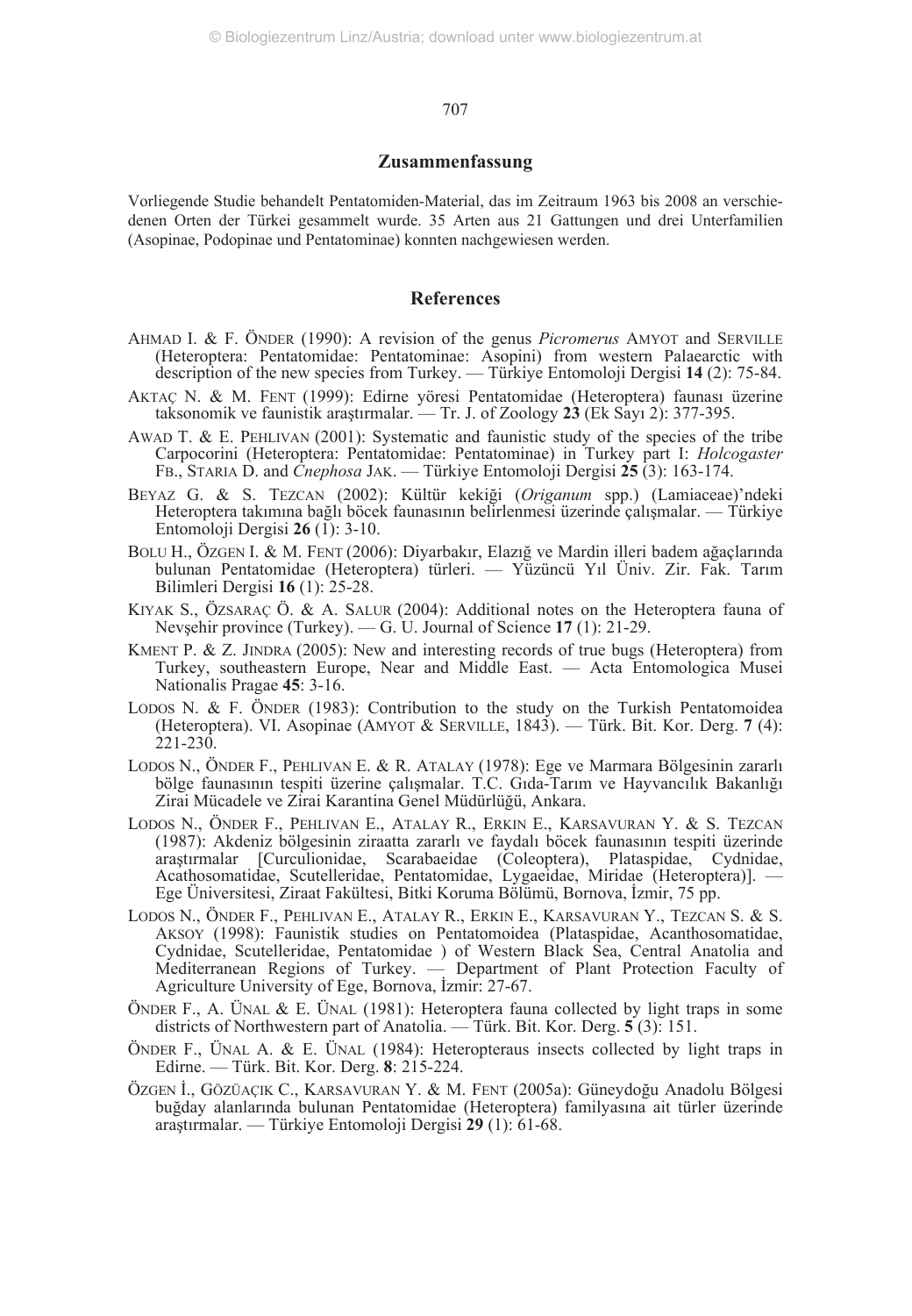#### **Zusammenfassung**

Vorliegende Studie behandelt Pentatomiden-Material, das im Zeitraum 1963 bis 2008 an verschiedenen Orten der Türkei gesammelt wurde. 35 Arten aus 21 Gattungen und drei Unterfamilien (Asopinae, Podopinae und Pentatominae) konnten nachgewiesen werden.

## **References**

- AHMAD I. & F. ÖNDER (1990): A revision of the genus *Picromerus* AMYOT and SERVILLE (Heteroptera: Pentatomidae: Pentatominae: Asopini) from western Palaearctic with description of the new species from Turkey. — Türkiye Entomoloji Dergisi **14** (2): 75-84.
- AKTAÇ N. & M. FENT (1999): Edirne yöresi Pentatomidae (Heteroptera) faunası üzerine taksonomik ve faunistik araştırmalar. — Tr. J. of Zoology **23** (Ek Sayı 2): 377-395.
- AWAD T. & E. PEHLIVAN (2001): Systematic and faunistic study of the species of the tribe Carpocorini (Heteroptera: Pentatomidae: Pentatominae) in Turkey part I: *Holcogaster* FB., STARIA D. and *Cnephosa* JAK. — Türkiye Entomoloji Dergisi **25** (3): 163-174.
- BEYAZ G. & S. TEZCAN (2002): Kültür kekiği (*Origanum* spp.) (Lamiaceae)'ndeki Heteroptera takımına bağlı böcek faunasının belirlenmesi üzerinde çalışmalar. — Türkiye Entomoloji Dergisi  $26$  (1): 3-10.
- BOLU H., ÖZGEN I. & M. FENT (2006): Diyarbakır, Elazığ ve Mardin illeri badem ağaçlarında bulunan Pentatomidae (Heteroptera) türleri. — Yüzüncü Yıl Üniv. Zir. Fak. Tarım Bilimleri Dergisi **16** (1): 25-28.
- KIYAK S., ÖZSARAÇ Ö. & A. SALUR (2004): Additional notes on the Heteroptera fauna of Nevşehir province (Turkey). — G. U. Journal of Science **17** (1): 21-29.
- KMENT P. & Z. JINDRA (2005): New and interesting records of true bugs (Heteroptera) from Turkey, southeastern Europe, Near and Middle East. — Acta Entomologica Musei Nationalis Pragae **45**: 3-16.
- LODOS N. & F. ÖNDER (1983): Contribution to the study on the Turkish Pentatomoidea (Heteroptera). VI. Asopinae (AMYOT & SERVILLE, 1843). — Türk. Bit. Kor. Derg. **7** (4):  $221 - 230$ .
- LODOS N., ÖNDER F., PEHLIVAN E. & R. ATALAY (1978): Ege ve Marmara Bölgesinin zararlı bölge faunasının tespiti üzerine çalışmalar. T.C. Gıda-Tarım ve Hayvancılık Bakanlığı Zirai Mücadele ve Zirai Karantina Genel Müdürlüğü,
- LODOS N., ÖNDER F., PEHLIVAN E., ATALAY R., ERKIN E., KARSAVURAN Y. & S. TEZCAN (1987): Akdeniz bölgesinin ziraatta zararlı ve faydalı böcek faunasının tespiti üzerinde araştırmalar [Curculionidae, Scarabaeidae (Coleoptera), Plataspidae, Cydnidae, Acathosomatidae, Scutelleridae, Pentatomidae, Lygaeidae, Miridae (Heteroptera)]. — Ege Üniversitesi, Ziraat Fakültesi, Bitki Koruma Bölümü, Bornova, İzmir, 75 pp.
- LODOS N., ÖNDER F., PEHLIVAN E., ATALAY R., ERKIN E., KARSAVURAN Y., TEZCAN S. & S. AKSOY (1998): Faunistik studies on Pentatomoidea (Plataspidae, Acanthosomatidae, Cydnidae, Scutelleridae, Pentatomidae ) of Western Black Sea, Central Anatolia and Mediterranean Regions of Turkey. — Department of Plant Protection Faculty of Agriculture University of Ege, Bornova, İzmir: 27-67.
- ÖNDER F., A. ÜNAL & E. ÜNAL (1981): Heteroptera fauna collected by light traps in some districts of Northwestern part of Anatolia. — Türk. Bit. Kor. Derg. **5** (3): 151.
- ÖNDER F., ÜNAL A. & E. ÜNAL (1984): Heteropteraus insects collected by light traps in Edirne. — Türk. Bit. Kor. Derg. **8**: 215-224.
- ÖZGEN İ., GÖZÜAÇIK C., KARSAVURAN Y. & M. FENT (2005a): Güneydoğu Anadolu Bölgesi buğday alanlarında bulunan Pentatomidae (Heteroptera) familyasına ait türler üzerinde araştırmalar. — Türkiye Entomoloji Dergisi **29** (1): 61-68.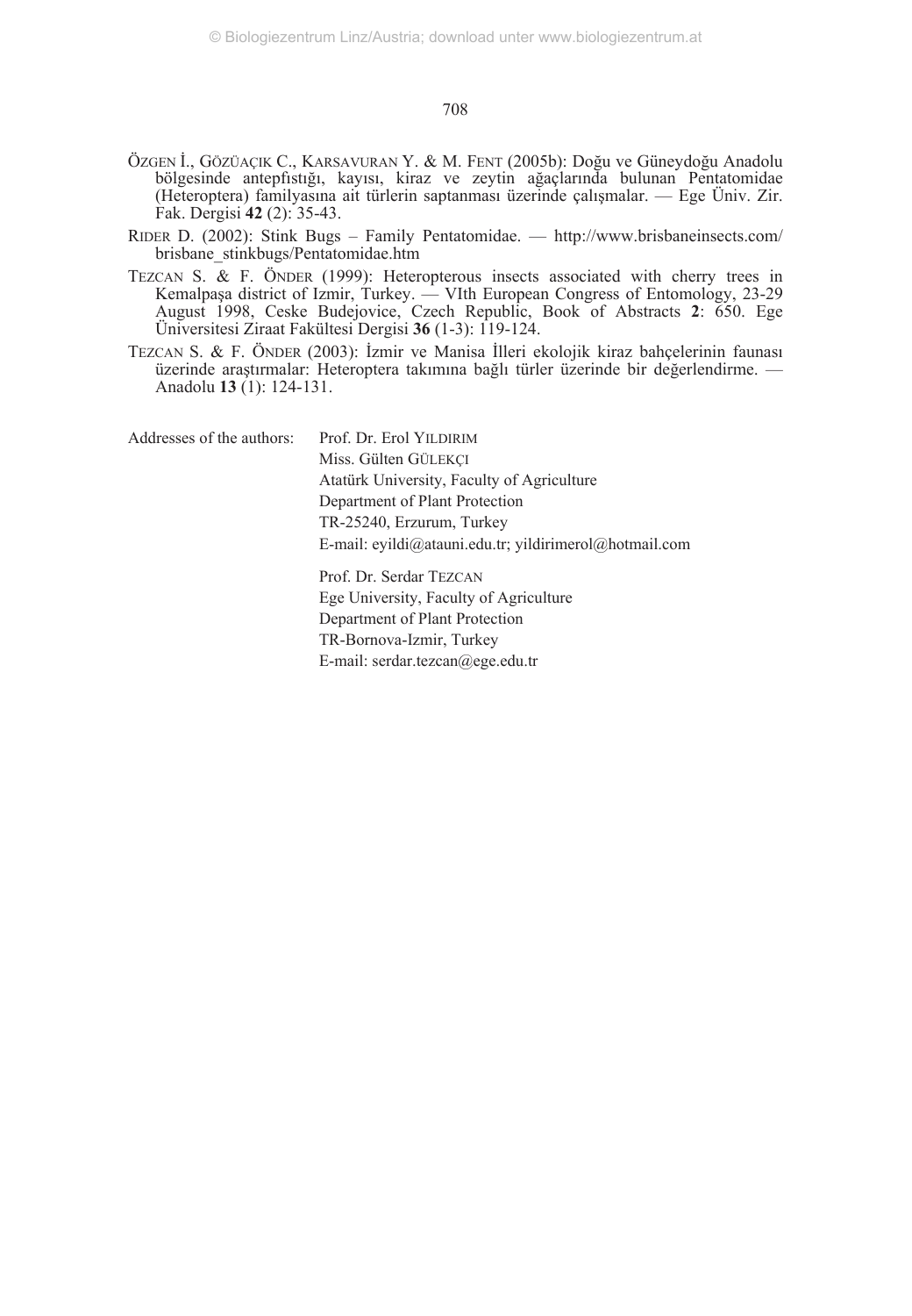- ÖZGEN İ., GÖZÜAÇIK C., KARSAVURAN Y. & M. FENT (2005b): Doğu ve Güneydoğu Anadolu bölgesinde antepfıstığı, kayısı, kiraz ve zeytin ağaçlarında bulunan Pentatomidae (Heteroptera) familyasına ait türlerin saptanması üzerinde çalışmalar. — Ege Üniv. Zir. Fak. Dergisi **42** (2): 35-43.
- RIDER D. (2002): Stink Bugs Family Pentatomidae. http://www.brisbaneinsects.com/ brisbane\_stinkbugs/Pentatomidae.htm
- TEZCAN S. & F. ÖNDER (1999): Heteropterous insects associated with cherry trees in Kemalpaşa district of Izmir, Turkey. — VIth European Congress of Entomology, 23-29 August 1998, Ceske Budejovice, Czech Republic, Book of Abstracts **2**: 650. Ege Üniversitesi Ziraat Fakültesi Dergisi **36** (1-3): 119-124.
- TEZCAN S. & F. ÖNDER (2003): İzmir ve Manisa İlleri ekolojik kiraz bahçelerinin faunası üzerinde araştırmalar: Heteroptera takımına bağlı türler üzerinde bir değerlendirme. — Anadolu **13** (1): 124-131.
- Addresses of the authors: Prof. Dr. Erol YILDIRIM Miss. Gülten GÜLEKÇI Atatürk University, Faculty of Agriculture Department of Plant Protection TR-25240, Erzurum, Turkey E-mail: eyildi@atauni.edu.tr; yildirimerol@hotmail.com Prof. Dr. Serdar TEZCAN

Ege University, Faculty of Agriculture Department of Plant Protection TR-Bornova-Izmir, Turkey E-mail: serdar.tezcan@ege.edu.tr